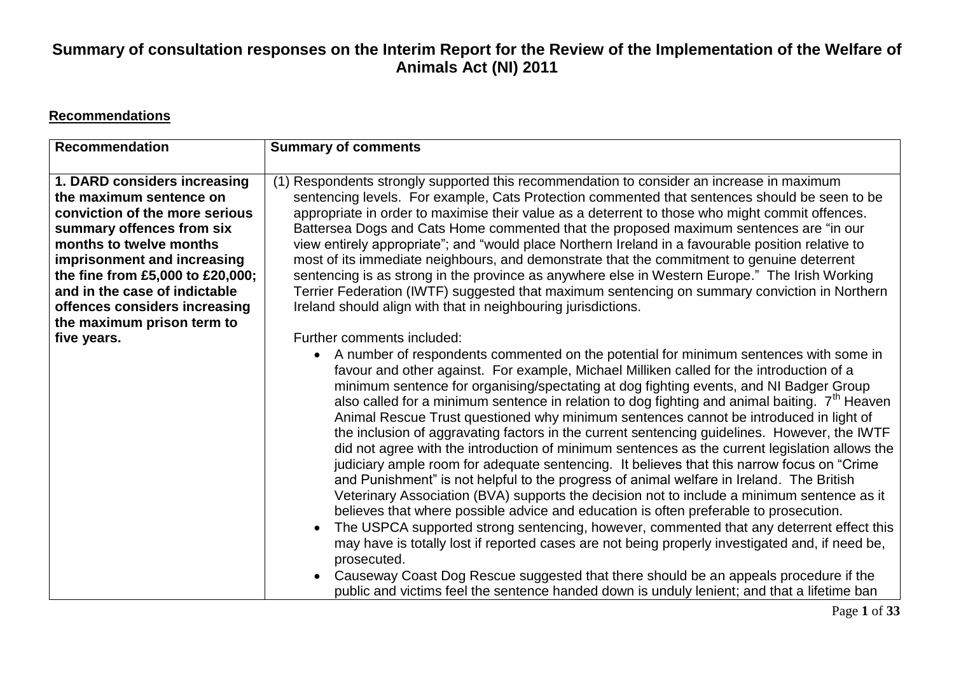#### **Recommendations**

| <b>Recommendation</b>                                                                                                                                                                                                                                                                  | <b>Summary of comments</b>                                                                                                                                                                                                                                                                                                                                                                                                                                                                                                                                                                                                                                                                                                                                                                                                                                                                                                                                                                                                                                                                                                                                                                                                                                                                                                                                                                                                                                                                                               |
|----------------------------------------------------------------------------------------------------------------------------------------------------------------------------------------------------------------------------------------------------------------------------------------|--------------------------------------------------------------------------------------------------------------------------------------------------------------------------------------------------------------------------------------------------------------------------------------------------------------------------------------------------------------------------------------------------------------------------------------------------------------------------------------------------------------------------------------------------------------------------------------------------------------------------------------------------------------------------------------------------------------------------------------------------------------------------------------------------------------------------------------------------------------------------------------------------------------------------------------------------------------------------------------------------------------------------------------------------------------------------------------------------------------------------------------------------------------------------------------------------------------------------------------------------------------------------------------------------------------------------------------------------------------------------------------------------------------------------------------------------------------------------------------------------------------------------|
| 1. DARD considers increasing<br>the maximum sentence on<br>conviction of the more serious<br>summary offences from six<br>months to twelve months<br>imprisonment and increasing<br>the fine from £5,000 to £20,000;<br>and in the case of indictable<br>offences considers increasing | (1) Respondents strongly supported this recommendation to consider an increase in maximum<br>sentencing levels. For example, Cats Protection commented that sentences should be seen to be<br>appropriate in order to maximise their value as a deterrent to those who might commit offences.<br>Battersea Dogs and Cats Home commented that the proposed maximum sentences are "in our<br>view entirely appropriate"; and "would place Northern Ireland in a favourable position relative to<br>most of its immediate neighbours, and demonstrate that the commitment to genuine deterrent<br>sentencing is as strong in the province as anywhere else in Western Europe." The Irish Working<br>Terrier Federation (IWTF) suggested that maximum sentencing on summary conviction in Northern<br>Ireland should align with that in neighbouring jurisdictions.                                                                                                                                                                                                                                                                                                                                                                                                                                                                                                                                                                                                                                                          |
| the maximum prison term to<br>five years.                                                                                                                                                                                                                                              | Further comments included:<br>A number of respondents commented on the potential for minimum sentences with some in<br>$\bullet$<br>favour and other against. For example, Michael Milliken called for the introduction of a<br>minimum sentence for organising/spectating at dog fighting events, and NI Badger Group<br>also called for a minimum sentence in relation to dog fighting and animal baiting. $7th$ Heaven<br>Animal Rescue Trust questioned why minimum sentences cannot be introduced in light of<br>the inclusion of aggravating factors in the current sentencing guidelines. However, the IWTF<br>did not agree with the introduction of minimum sentences as the current legislation allows the<br>judiciary ample room for adequate sentencing. It believes that this narrow focus on "Crime"<br>and Punishment" is not helpful to the progress of animal welfare in Ireland. The British<br>Veterinary Association (BVA) supports the decision not to include a minimum sentence as it<br>believes that where possible advice and education is often preferable to prosecution.<br>The USPCA supported strong sentencing, however, commented that any deterrent effect this<br>$\bullet$<br>may have is totally lost if reported cases are not being properly investigated and, if need be,<br>prosecuted.<br>Causeway Coast Dog Rescue suggested that there should be an appeals procedure if the<br>public and victims feel the sentence handed down is unduly lenient; and that a lifetime ban |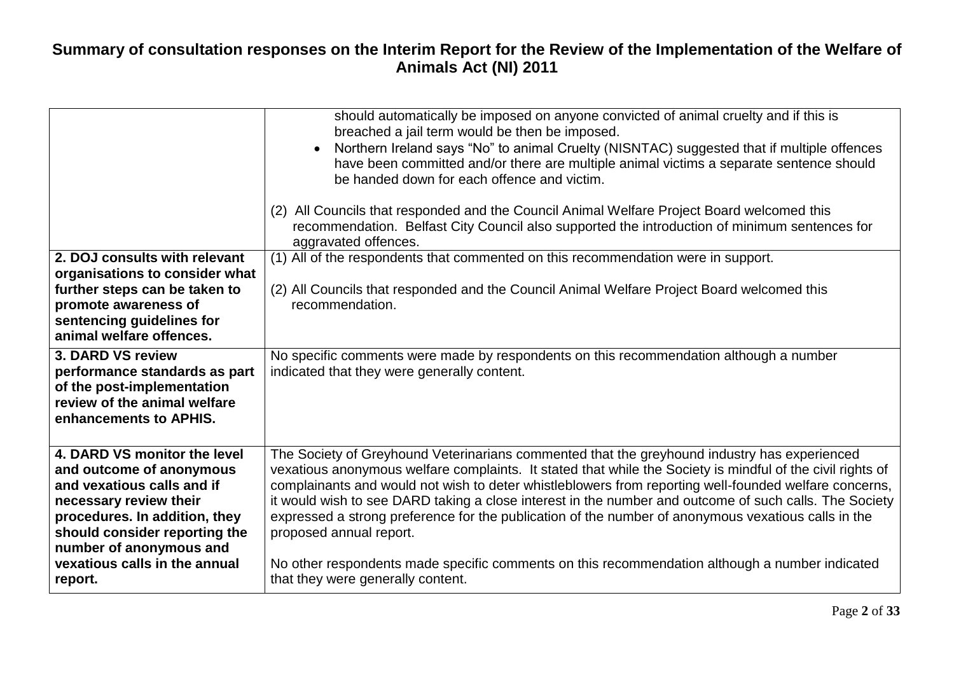|                                                                                                                                                                                                               | should automatically be imposed on anyone convicted of animal cruelty and if this is<br>breached a jail term would be then be imposed.<br>Northern Ireland says "No" to animal Cruelty (NISNTAC) suggested that if multiple offences<br>have been committed and/or there are multiple animal victims a separate sentence should<br>be handed down for each offence and victim.                                                                                                                                                                                  |
|---------------------------------------------------------------------------------------------------------------------------------------------------------------------------------------------------------------|-----------------------------------------------------------------------------------------------------------------------------------------------------------------------------------------------------------------------------------------------------------------------------------------------------------------------------------------------------------------------------------------------------------------------------------------------------------------------------------------------------------------------------------------------------------------|
|                                                                                                                                                                                                               | (2) All Councils that responded and the Council Animal Welfare Project Board welcomed this<br>recommendation. Belfast City Council also supported the introduction of minimum sentences for<br>aggravated offences.                                                                                                                                                                                                                                                                                                                                             |
| 2. DOJ consults with relevant<br>organisations to consider what                                                                                                                                               | (1) All of the respondents that commented on this recommendation were in support.                                                                                                                                                                                                                                                                                                                                                                                                                                                                               |
| further steps can be taken to<br>promote awareness of<br>sentencing guidelines for<br>animal welfare offences.                                                                                                | (2) All Councils that responded and the Council Animal Welfare Project Board welcomed this<br>recommendation.                                                                                                                                                                                                                                                                                                                                                                                                                                                   |
| 3. DARD VS review<br>performance standards as part<br>of the post-implementation<br>review of the animal welfare<br>enhancements to APHIS.                                                                    | No specific comments were made by respondents on this recommendation although a number<br>indicated that they were generally content.                                                                                                                                                                                                                                                                                                                                                                                                                           |
| 4. DARD VS monitor the level<br>and outcome of anonymous<br>and vexatious calls and if<br>necessary review their<br>procedures. In addition, they<br>should consider reporting the<br>number of anonymous and | The Society of Greyhound Veterinarians commented that the greyhound industry has experienced<br>vexatious anonymous welfare complaints. It stated that while the Society is mindful of the civil rights of<br>complainants and would not wish to deter whistleblowers from reporting well-founded welfare concerns,<br>it would wish to see DARD taking a close interest in the number and outcome of such calls. The Society<br>expressed a strong preference for the publication of the number of anonymous vexatious calls in the<br>proposed annual report. |
| vexatious calls in the annual<br>report.                                                                                                                                                                      | No other respondents made specific comments on this recommendation although a number indicated<br>that they were generally content.                                                                                                                                                                                                                                                                                                                                                                                                                             |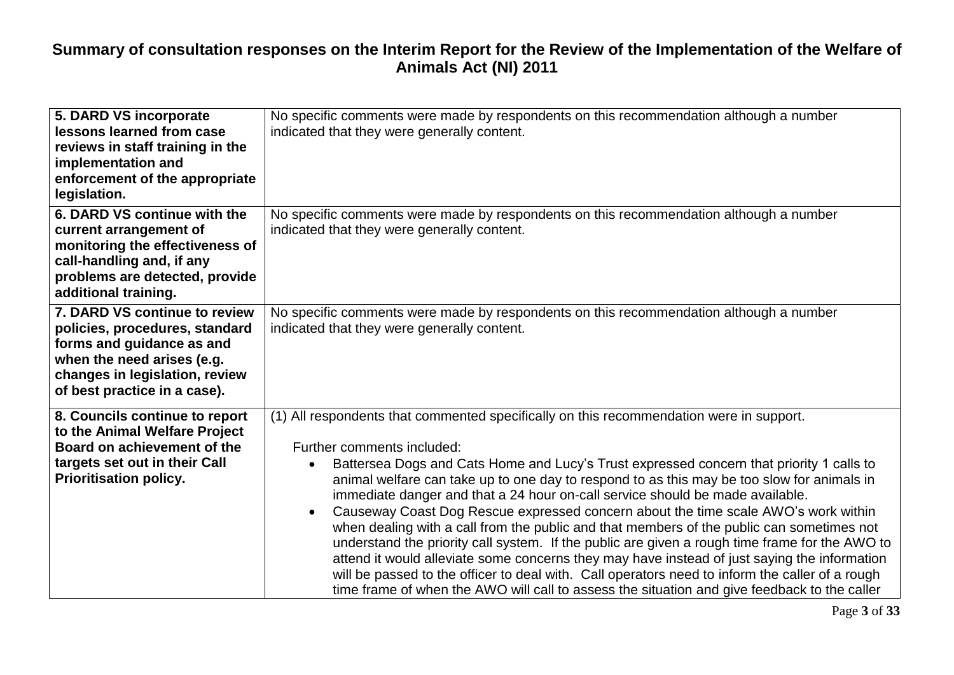| 5. DARD VS incorporate<br>lessons learned from case<br>reviews in staff training in the<br>implementation and<br>enforcement of the appropriate<br>legislation.                              | No specific comments were made by respondents on this recommendation although a number<br>indicated that they were generally content.                                                                                                                                                                                                                                                                                                                                                                                                                                                                                                                                                                                                                                                                                                                                                                                                                                                    |  |
|----------------------------------------------------------------------------------------------------------------------------------------------------------------------------------------------|------------------------------------------------------------------------------------------------------------------------------------------------------------------------------------------------------------------------------------------------------------------------------------------------------------------------------------------------------------------------------------------------------------------------------------------------------------------------------------------------------------------------------------------------------------------------------------------------------------------------------------------------------------------------------------------------------------------------------------------------------------------------------------------------------------------------------------------------------------------------------------------------------------------------------------------------------------------------------------------|--|
| 6. DARD VS continue with the<br>current arrangement of<br>monitoring the effectiveness of<br>call-handling and, if any<br>problems are detected, provide<br>additional training.             | No specific comments were made by respondents on this recommendation although a number<br>indicated that they were generally content.                                                                                                                                                                                                                                                                                                                                                                                                                                                                                                                                                                                                                                                                                                                                                                                                                                                    |  |
| 7. DARD VS continue to review<br>policies, procedures, standard<br>forms and guidance as and<br>when the need arises (e.g.<br>changes in legislation, review<br>of best practice in a case). | No specific comments were made by respondents on this recommendation although a number<br>indicated that they were generally content.                                                                                                                                                                                                                                                                                                                                                                                                                                                                                                                                                                                                                                                                                                                                                                                                                                                    |  |
| 8. Councils continue to report<br>to the Animal Welfare Project<br>Board on achievement of the<br>targets set out in their Call<br><b>Prioritisation policy.</b>                             | (1) All respondents that commented specifically on this recommendation were in support.<br>Further comments included:<br>Battersea Dogs and Cats Home and Lucy's Trust expressed concern that priority 1 calls to<br>animal welfare can take up to one day to respond to as this may be too slow for animals in<br>immediate danger and that a 24 hour on-call service should be made available.<br>Causeway Coast Dog Rescue expressed concern about the time scale AWO's work within<br>when dealing with a call from the public and that members of the public can sometimes not<br>understand the priority call system. If the public are given a rough time frame for the AWO to<br>attend it would alleviate some concerns they may have instead of just saying the information<br>will be passed to the officer to deal with. Call operators need to inform the caller of a rough<br>time frame of when the AWO will call to assess the situation and give feedback to the caller |  |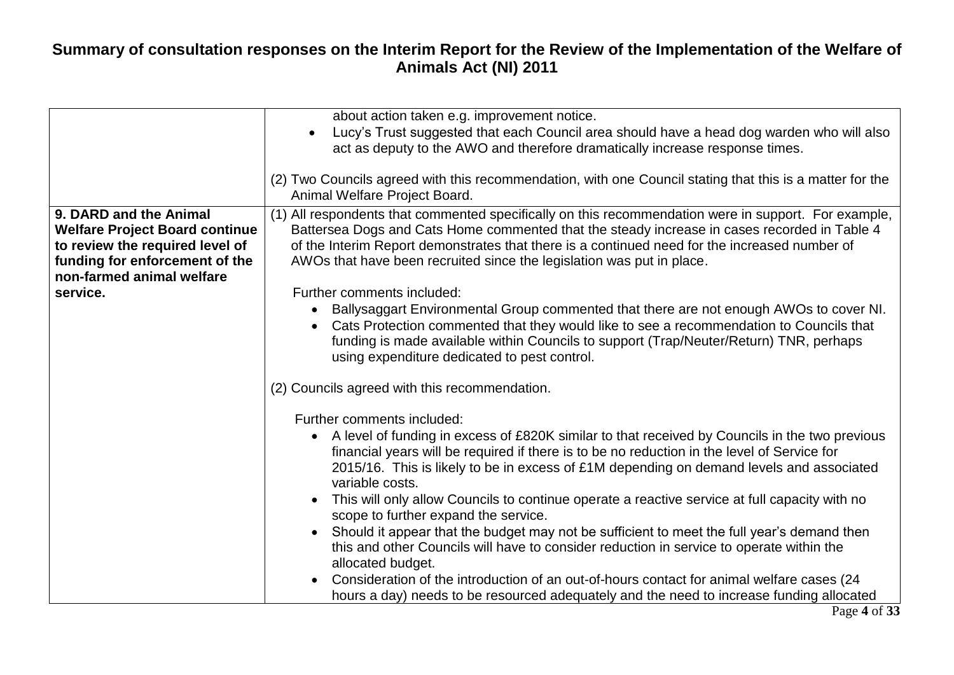|                                                                                                                                                                   | about action taken e.g. improvement notice.<br>Lucy's Trust suggested that each Council area should have a head dog warden who will also<br>act as deputy to the AWO and therefore dramatically increase response times.                                                                                                                                                                                                                                                                                                                                         |
|-------------------------------------------------------------------------------------------------------------------------------------------------------------------|------------------------------------------------------------------------------------------------------------------------------------------------------------------------------------------------------------------------------------------------------------------------------------------------------------------------------------------------------------------------------------------------------------------------------------------------------------------------------------------------------------------------------------------------------------------|
|                                                                                                                                                                   | (2) Two Councils agreed with this recommendation, with one Council stating that this is a matter for the<br>Animal Welfare Project Board.                                                                                                                                                                                                                                                                                                                                                                                                                        |
| 9. DARD and the Animal<br><b>Welfare Project Board continue</b><br>to review the required level of<br>funding for enforcement of the<br>non-farmed animal welfare | (1) All respondents that commented specifically on this recommendation were in support. For example,<br>Battersea Dogs and Cats Home commented that the steady increase in cases recorded in Table 4<br>of the Interim Report demonstrates that there is a continued need for the increased number of<br>AWOs that have been recruited since the legislation was put in place.                                                                                                                                                                                   |
| service.                                                                                                                                                          | Further comments included:                                                                                                                                                                                                                                                                                                                                                                                                                                                                                                                                       |
|                                                                                                                                                                   |                                                                                                                                                                                                                                                                                                                                                                                                                                                                                                                                                                  |
|                                                                                                                                                                   | Ballysaggart Environmental Group commented that there are not enough AWOs to cover NI.<br>Cats Protection commented that they would like to see a recommendation to Councils that<br>funding is made available within Councils to support (Trap/Neuter/Return) TNR, perhaps<br>using expenditure dedicated to pest control.                                                                                                                                                                                                                                      |
|                                                                                                                                                                   | (2) Councils agreed with this recommendation.                                                                                                                                                                                                                                                                                                                                                                                                                                                                                                                    |
|                                                                                                                                                                   | Further comments included:                                                                                                                                                                                                                                                                                                                                                                                                                                                                                                                                       |
|                                                                                                                                                                   | A level of funding in excess of £820K similar to that received by Councils in the two previous<br>$\bullet$<br>financial years will be required if there is to be no reduction in the level of Service for<br>2015/16. This is likely to be in excess of £1M depending on demand levels and associated<br>variable costs.<br>This will only allow Councils to continue operate a reactive service at full capacity with no<br>scope to further expand the service.<br>Should it appear that the budget may not be sufficient to meet the full year's demand then |
|                                                                                                                                                                   | this and other Councils will have to consider reduction in service to operate within the<br>allocated budget.                                                                                                                                                                                                                                                                                                                                                                                                                                                    |
|                                                                                                                                                                   | Consideration of the introduction of an out-of-hours contact for animal welfare cases (24<br>hours a day) needs to be resourced adequately and the need to increase funding allocated                                                                                                                                                                                                                                                                                                                                                                            |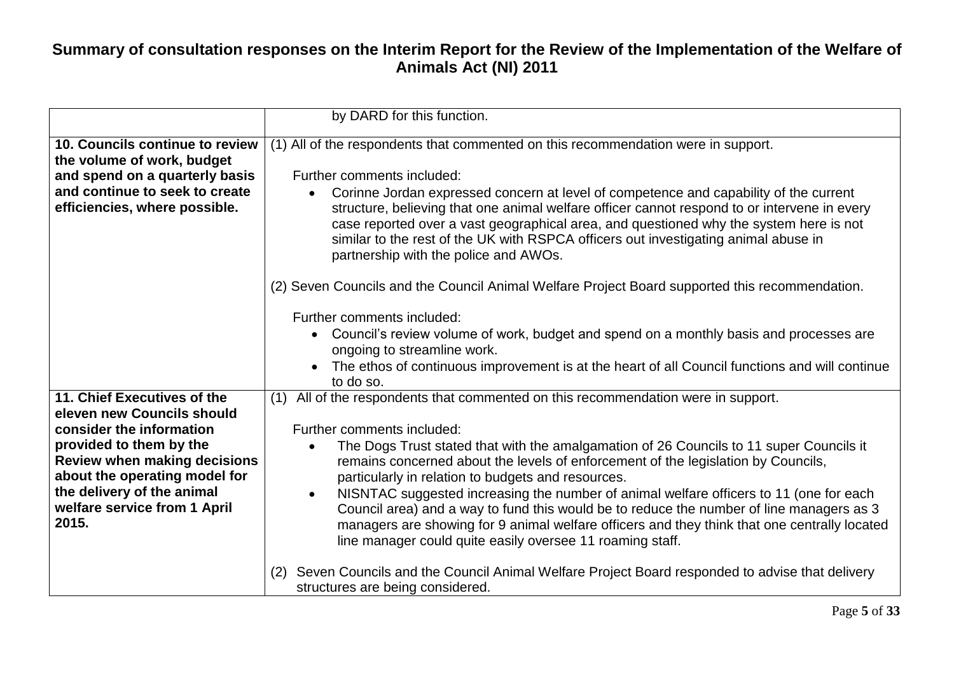|                                                                                                                                                                                                                                                                 | by DARD for this function.                                                                                                                                                                                                                                                                                                                                                                                                                                                                                                                                                                                                                                                                                               |
|-----------------------------------------------------------------------------------------------------------------------------------------------------------------------------------------------------------------------------------------------------------------|--------------------------------------------------------------------------------------------------------------------------------------------------------------------------------------------------------------------------------------------------------------------------------------------------------------------------------------------------------------------------------------------------------------------------------------------------------------------------------------------------------------------------------------------------------------------------------------------------------------------------------------------------------------------------------------------------------------------------|
| 10. Councils continue to review<br>the volume of work, budget<br>and spend on a quarterly basis<br>and continue to seek to create<br>efficiencies, where possible.                                                                                              | (1) All of the respondents that commented on this recommendation were in support.<br>Further comments included:<br>Corinne Jordan expressed concern at level of competence and capability of the current<br>structure, believing that one animal welfare officer cannot respond to or intervene in every<br>case reported over a vast geographical area, and questioned why the system here is not<br>similar to the rest of the UK with RSPCA officers out investigating animal abuse in<br>partnership with the police and AWOs.                                                                                                                                                                                       |
|                                                                                                                                                                                                                                                                 | (2) Seven Councils and the Council Animal Welfare Project Board supported this recommendation.<br>Further comments included:<br>Council's review volume of work, budget and spend on a monthly basis and processes are<br>ongoing to streamline work.<br>The ethos of continuous improvement is at the heart of all Council functions and will continue<br>to do so.                                                                                                                                                                                                                                                                                                                                                     |
| 11. Chief Executives of the<br>eleven new Councils should<br>consider the information<br>provided to them by the<br><b>Review when making decisions</b><br>about the operating model for<br>the delivery of the animal<br>welfare service from 1 April<br>2015. | All of the respondents that commented on this recommendation were in support.<br>(1)<br>Further comments included:<br>The Dogs Trust stated that with the amalgamation of 26 Councils to 11 super Councils it<br>remains concerned about the levels of enforcement of the legislation by Councils,<br>particularly in relation to budgets and resources.<br>NISNTAC suggested increasing the number of animal welfare officers to 11 (one for each<br>$\bullet$<br>Council area) and a way to fund this would be to reduce the number of line managers as 3<br>managers are showing for 9 animal welfare officers and they think that one centrally located<br>line manager could quite easily oversee 11 roaming staff. |
|                                                                                                                                                                                                                                                                 | Seven Councils and the Council Animal Welfare Project Board responded to advise that delivery<br>(2)<br>structures are being considered.                                                                                                                                                                                                                                                                                                                                                                                                                                                                                                                                                                                 |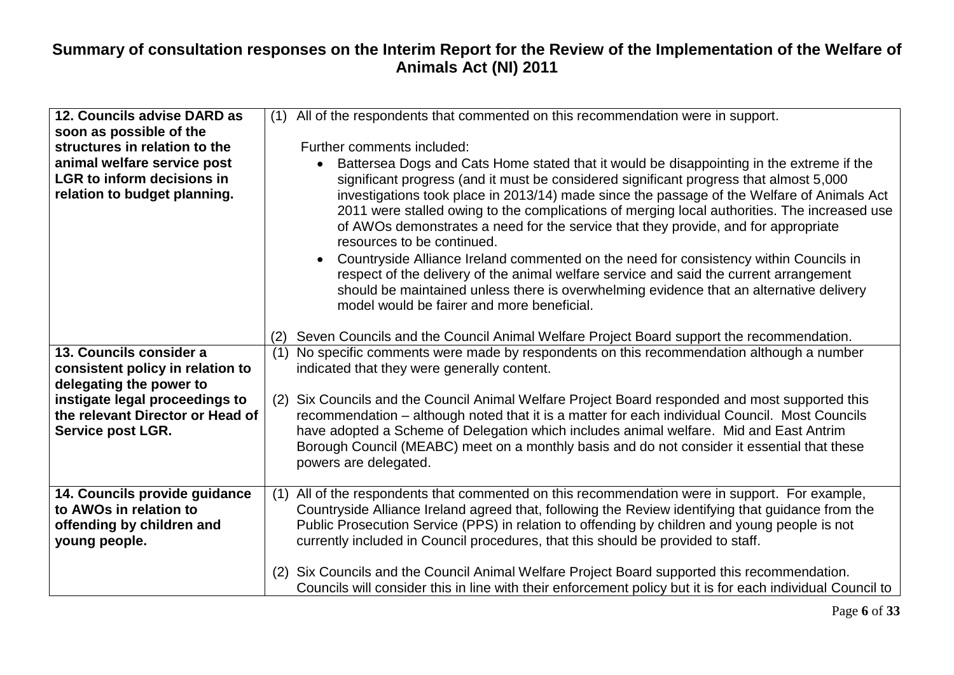| 12. Councils advise DARD as<br>soon as possible of the<br>structures in relation to the<br>animal welfare service post<br><b>LGR</b> to inform decisions in<br>relation to budget planning. | All of the respondents that commented on this recommendation were in support.<br>(1)<br>Further comments included:<br>Battersea Dogs and Cats Home stated that it would be disappointing in the extreme if the<br>significant progress (and it must be considered significant progress that almost 5,000<br>investigations took place in 2013/14) made since the passage of the Welfare of Animals Act<br>2011 were stalled owing to the complications of merging local authorities. The increased use<br>of AWOs demonstrates a need for the service that they provide, and for appropriate<br>resources to be continued.<br>Countryside Alliance Ireland commented on the need for consistency within Councils in<br>$\bullet$<br>respect of the delivery of the animal welfare service and said the current arrangement<br>should be maintained unless there is overwhelming evidence that an alternative delivery<br>model would be fairer and more beneficial. |
|---------------------------------------------------------------------------------------------------------------------------------------------------------------------------------------------|---------------------------------------------------------------------------------------------------------------------------------------------------------------------------------------------------------------------------------------------------------------------------------------------------------------------------------------------------------------------------------------------------------------------------------------------------------------------------------------------------------------------------------------------------------------------------------------------------------------------------------------------------------------------------------------------------------------------------------------------------------------------------------------------------------------------------------------------------------------------------------------------------------------------------------------------------------------------|
|                                                                                                                                                                                             | Seven Councils and the Council Animal Welfare Project Board support the recommendation.<br>(2)                                                                                                                                                                                                                                                                                                                                                                                                                                                                                                                                                                                                                                                                                                                                                                                                                                                                      |
| 13. Councils consider a<br>consistent policy in relation to<br>delegating the power to                                                                                                      | No specific comments were made by respondents on this recommendation although a number<br>(1)<br>indicated that they were generally content.                                                                                                                                                                                                                                                                                                                                                                                                                                                                                                                                                                                                                                                                                                                                                                                                                        |
| instigate legal proceedings to<br>the relevant Director or Head of<br><b>Service post LGR.</b>                                                                                              | Six Councils and the Council Animal Welfare Project Board responded and most supported this<br>(2)<br>recommendation – although noted that it is a matter for each individual Council. Most Councils<br>have adopted a Scheme of Delegation which includes animal welfare. Mid and East Antrim<br>Borough Council (MEABC) meet on a monthly basis and do not consider it essential that these<br>powers are delegated.                                                                                                                                                                                                                                                                                                                                                                                                                                                                                                                                              |
| 14. Councils provide guidance<br>to AWOs in relation to<br>offending by children and<br>young people.                                                                                       | All of the respondents that commented on this recommendation were in support. For example,<br>(1)<br>Countryside Alliance Ireland agreed that, following the Review identifying that guidance from the<br>Public Prosecution Service (PPS) in relation to offending by children and young people is not<br>currently included in Council procedures, that this should be provided to staff.                                                                                                                                                                                                                                                                                                                                                                                                                                                                                                                                                                         |
|                                                                                                                                                                                             | Six Councils and the Council Animal Welfare Project Board supported this recommendation.<br>(2)<br>Councils will consider this in line with their enforcement policy but it is for each individual Council to                                                                                                                                                                                                                                                                                                                                                                                                                                                                                                                                                                                                                                                                                                                                                       |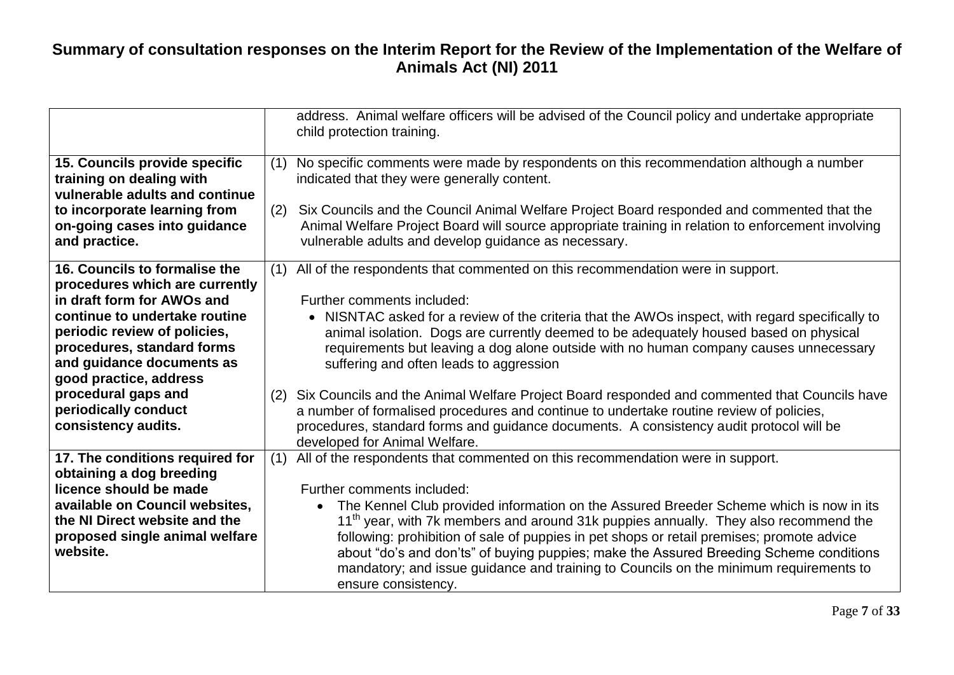|                                                                                                                                                                                                                                                                                                                           | address. Animal welfare officers will be advised of the Council policy and undertake appropriate<br>child protection training.                                                                                                                                                                                                                                                                                                                                                                                                                                                                                                                                                                                                                                                   |
|---------------------------------------------------------------------------------------------------------------------------------------------------------------------------------------------------------------------------------------------------------------------------------------------------------------------------|----------------------------------------------------------------------------------------------------------------------------------------------------------------------------------------------------------------------------------------------------------------------------------------------------------------------------------------------------------------------------------------------------------------------------------------------------------------------------------------------------------------------------------------------------------------------------------------------------------------------------------------------------------------------------------------------------------------------------------------------------------------------------------|
| 15. Councils provide specific<br>training on dealing with<br>vulnerable adults and continue                                                                                                                                                                                                                               | No specific comments were made by respondents on this recommendation although a number<br>(1)<br>indicated that they were generally content.                                                                                                                                                                                                                                                                                                                                                                                                                                                                                                                                                                                                                                     |
| to incorporate learning from<br>on-going cases into guidance<br>and practice.                                                                                                                                                                                                                                             | (2)<br>Six Councils and the Council Animal Welfare Project Board responded and commented that the<br>Animal Welfare Project Board will source appropriate training in relation to enforcement involving<br>vulnerable adults and develop guidance as necessary.                                                                                                                                                                                                                                                                                                                                                                                                                                                                                                                  |
| 16. Councils to formalise the<br>procedures which are currently<br>in draft form for AWOs and<br>continue to undertake routine<br>periodic review of policies,<br>procedures, standard forms<br>and guidance documents as<br>good practice, address<br>procedural gaps and<br>periodically conduct<br>consistency audits. | All of the respondents that commented on this recommendation were in support.<br>(1)<br>Further comments included:<br>• NISNTAC asked for a review of the criteria that the AWOs inspect, with regard specifically to<br>animal isolation. Dogs are currently deemed to be adequately housed based on physical<br>requirements but leaving a dog alone outside with no human company causes unnecessary<br>suffering and often leads to aggression<br>Six Councils and the Animal Welfare Project Board responded and commented that Councils have<br>(2)<br>a number of formalised procedures and continue to undertake routine review of policies,<br>procedures, standard forms and guidance documents. A consistency audit protocol will be<br>developed for Animal Welfare. |
| 17. The conditions required for<br>obtaining a dog breeding                                                                                                                                                                                                                                                               | All of the respondents that commented on this recommendation were in support.<br>(1)                                                                                                                                                                                                                                                                                                                                                                                                                                                                                                                                                                                                                                                                                             |
| licence should be made<br>available on Council websites,<br>the NI Direct website and the<br>proposed single animal welfare<br>website.                                                                                                                                                                                   | Further comments included:<br>The Kennel Club provided information on the Assured Breeder Scheme which is now in its<br>$\bullet$<br>11 <sup>th</sup> year, with 7k members and around 31k puppies annually. They also recommend the<br>following: prohibition of sale of puppies in pet shops or retail premises; promote advice<br>about "do's and don'ts" of buying puppies; make the Assured Breeding Scheme conditions<br>mandatory; and issue guidance and training to Councils on the minimum requirements to<br>ensure consistency.                                                                                                                                                                                                                                      |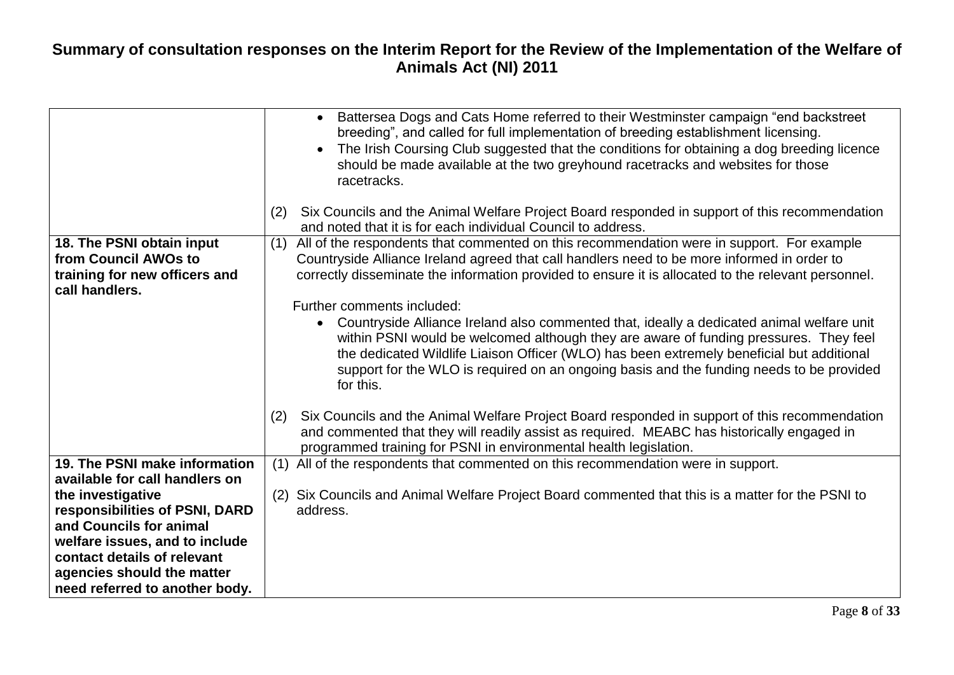|                                                                                                                                                          | Battersea Dogs and Cats Home referred to their Westminster campaign "end backstreet"<br>$\bullet$<br>breeding", and called for full implementation of breeding establishment licensing.<br>The Irish Coursing Club suggested that the conditions for obtaining a dog breeding licence<br>should be made available at the two greyhound racetracks and websites for those<br>racetracks.<br>Six Councils and the Animal Welfare Project Board responded in support of this recommendation<br>(2) |
|----------------------------------------------------------------------------------------------------------------------------------------------------------|-------------------------------------------------------------------------------------------------------------------------------------------------------------------------------------------------------------------------------------------------------------------------------------------------------------------------------------------------------------------------------------------------------------------------------------------------------------------------------------------------|
|                                                                                                                                                          | and noted that it is for each individual Council to address.                                                                                                                                                                                                                                                                                                                                                                                                                                    |
| 18. The PSNI obtain input<br>from Council AWOs to<br>training for new officers and<br>call handlers.                                                     | All of the respondents that commented on this recommendation were in support. For example<br>(1)<br>Countryside Alliance Ireland agreed that call handlers need to be more informed in order to<br>correctly disseminate the information provided to ensure it is allocated to the relevant personnel.                                                                                                                                                                                          |
|                                                                                                                                                          | Further comments included:                                                                                                                                                                                                                                                                                                                                                                                                                                                                      |
|                                                                                                                                                          | Countryside Alliance Ireland also commented that, ideally a dedicated animal welfare unit<br>within PSNI would be welcomed although they are aware of funding pressures. They feel<br>the dedicated Wildlife Liaison Officer (WLO) has been extremely beneficial but additional<br>support for the WLO is required on an ongoing basis and the funding needs to be provided<br>for this.                                                                                                        |
|                                                                                                                                                          | Six Councils and the Animal Welfare Project Board responded in support of this recommendation<br>(2)<br>and commented that they will readily assist as required. MEABC has historically engaged in<br>programmed training for PSNI in environmental health legislation.                                                                                                                                                                                                                         |
| 19. The PSNI make information<br>available for call handlers on                                                                                          | (1) All of the respondents that commented on this recommendation were in support.                                                                                                                                                                                                                                                                                                                                                                                                               |
| the investigative<br>responsibilities of PSNI, DARD                                                                                                      | (2) Six Councils and Animal Welfare Project Board commented that this is a matter for the PSNI to<br>address.                                                                                                                                                                                                                                                                                                                                                                                   |
| and Councils for animal<br>welfare issues, and to include<br>contact details of relevant<br>agencies should the matter<br>need referred to another body. |                                                                                                                                                                                                                                                                                                                                                                                                                                                                                                 |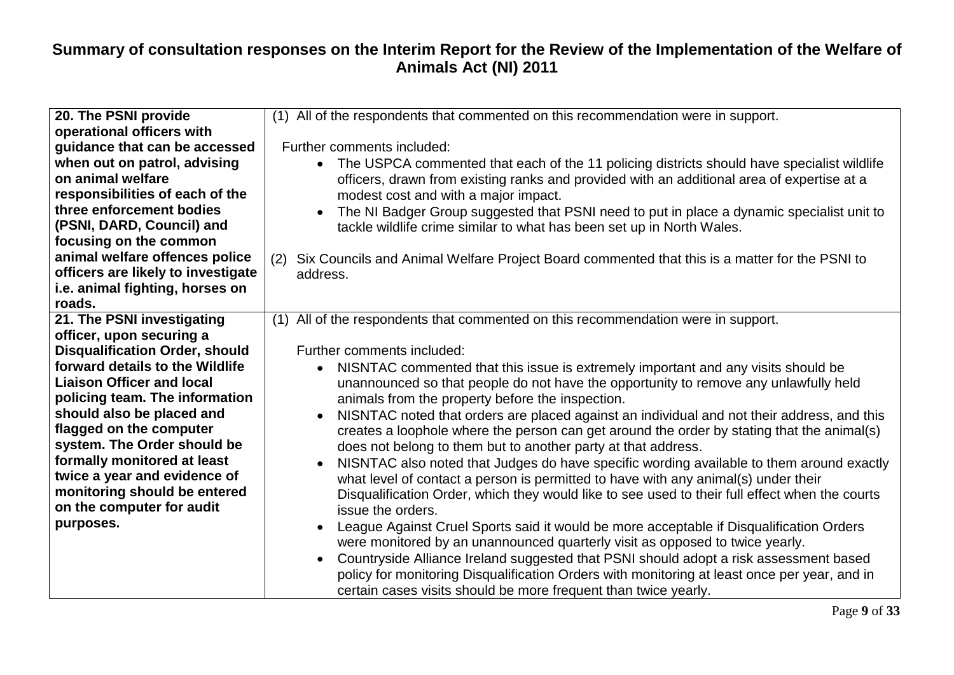| 20. The PSNI provide                                        | (1) All of the respondents that commented on this recommendation were in support.                       |
|-------------------------------------------------------------|---------------------------------------------------------------------------------------------------------|
| operational officers with                                   |                                                                                                         |
| guidance that can be accessed                               | Further comments included:                                                                              |
| when out on patrol, advising                                | The USPCA commented that each of the 11 policing districts should have specialist wildlife<br>$\bullet$ |
| on animal welfare                                           | officers, drawn from existing ranks and provided with an additional area of expertise at a              |
| responsibilities of each of the                             | modest cost and with a major impact.                                                                    |
| three enforcement bodies                                    | The NI Badger Group suggested that PSNI need to put in place a dynamic specialist unit to               |
| (PSNI, DARD, Council) and                                   | tackle wildlife crime similar to what has been set up in North Wales.                                   |
| focusing on the common                                      |                                                                                                         |
| animal welfare offences police                              | Six Councils and Animal Welfare Project Board commented that this is a matter for the PSNI to<br>(2)    |
| officers are likely to investigate                          | address.                                                                                                |
| i.e. animal fighting, horses on                             |                                                                                                         |
| roads.                                                      |                                                                                                         |
| 21. The PSNI investigating                                  | All of the respondents that commented on this recommendation were in support.<br>(1)                    |
| officer, upon securing a                                    |                                                                                                         |
| <b>Disqualification Order, should</b>                       | Further comments included:                                                                              |
| forward details to the Wildlife                             | NISNTAC commented that this issue is extremely important and any visits should be                       |
| <b>Liaison Officer and local</b>                            | unannounced so that people do not have the opportunity to remove any unlawfully held                    |
| policing team. The information                              | animals from the property before the inspection.                                                        |
| should also be placed and                                   | NISNTAC noted that orders are placed against an individual and not their address, and this              |
| flagged on the computer                                     | creates a loophole where the person can get around the order by stating that the animal(s)              |
| system. The Order should be                                 | does not belong to them but to another party at that address.                                           |
| formally monitored at least<br>twice a year and evidence of | NISNTAC also noted that Judges do have specific wording available to them around exactly                |
| monitoring should be entered                                | what level of contact a person is permitted to have with any animal(s) under their                      |
| on the computer for audit                                   | Disqualification Order, which they would like to see used to their full effect when the courts          |
| purposes.                                                   | issue the orders.                                                                                       |
|                                                             | League Against Cruel Sports said it would be more acceptable if Disqualification Orders                 |
|                                                             | were monitored by an unannounced quarterly visit as opposed to twice yearly.                            |
|                                                             | Countryside Alliance Ireland suggested that PSNI should adopt a risk assessment based                   |
|                                                             | policy for monitoring Disqualification Orders with monitoring at least once per year, and in            |
|                                                             | certain cases visits should be more frequent than twice yearly.                                         |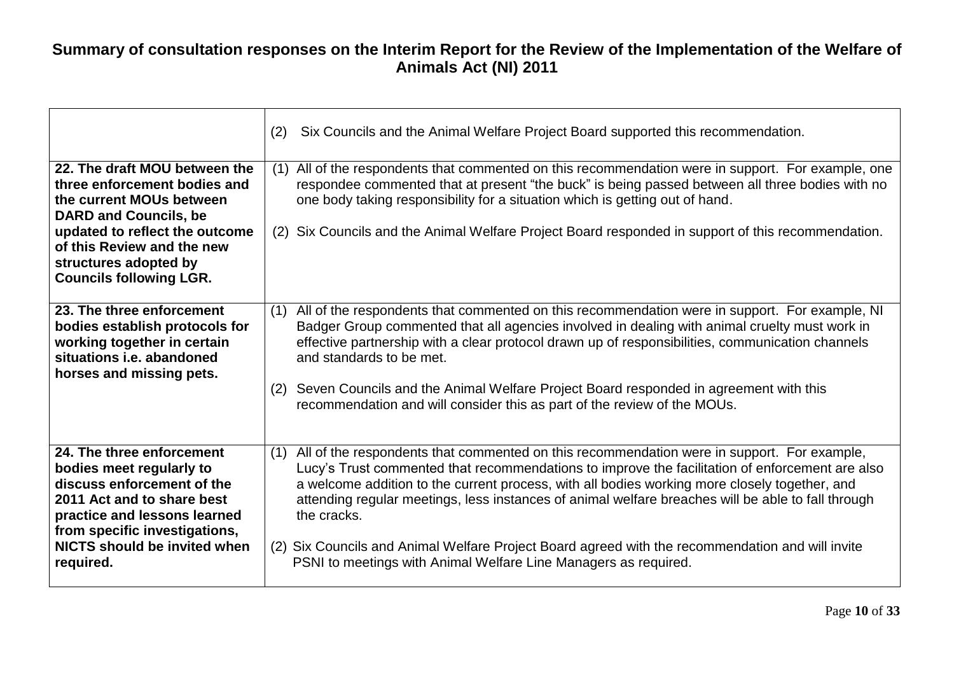|                                                                                                                                                                                           | Six Councils and the Animal Welfare Project Board supported this recommendation.<br>(2)                                                                                                                                                                                                                                                                                                                                    |
|-------------------------------------------------------------------------------------------------------------------------------------------------------------------------------------------|----------------------------------------------------------------------------------------------------------------------------------------------------------------------------------------------------------------------------------------------------------------------------------------------------------------------------------------------------------------------------------------------------------------------------|
| 22. The draft MOU between the<br>three enforcement bodies and<br>the current MOUs between<br><b>DARD and Councils, be</b><br>updated to reflect the outcome<br>of this Review and the new | All of the respondents that commented on this recommendation were in support. For example, one<br>(1)<br>respondee commented that at present "the buck" is being passed between all three bodies with no<br>one body taking responsibility for a situation which is getting out of hand.<br>Six Councils and the Animal Welfare Project Board responded in support of this recommendation.<br>(2)                          |
| structures adopted by<br><b>Councils following LGR.</b>                                                                                                                                   |                                                                                                                                                                                                                                                                                                                                                                                                                            |
| 23. The three enforcement<br>bodies establish protocols for<br>working together in certain<br>situations i.e. abandoned<br>horses and missing pets.                                       | All of the respondents that commented on this recommendation were in support. For example, NI<br>(1)<br>Badger Group commented that all agencies involved in dealing with animal cruelty must work in<br>effective partnership with a clear protocol drawn up of responsibilities, communication channels<br>and standards to be met.                                                                                      |
|                                                                                                                                                                                           | Seven Councils and the Animal Welfare Project Board responded in agreement with this<br>(2)<br>recommendation and will consider this as part of the review of the MOUs.                                                                                                                                                                                                                                                    |
| 24. The three enforcement<br>bodies meet regularly to<br>discuss enforcement of the<br>2011 Act and to share best<br>practice and lessons learned<br>from specific investigations,        | All of the respondents that commented on this recommendation were in support. For example,<br>(1)<br>Lucy's Trust commented that recommendations to improve the facilitation of enforcement are also<br>a welcome addition to the current process, with all bodies working more closely together, and<br>attending regular meetings, less instances of animal welfare breaches will be able to fall through<br>the cracks. |
| NICTS should be invited when<br>required.                                                                                                                                                 | Six Councils and Animal Welfare Project Board agreed with the recommendation and will invite<br>(2)<br>PSNI to meetings with Animal Welfare Line Managers as required.                                                                                                                                                                                                                                                     |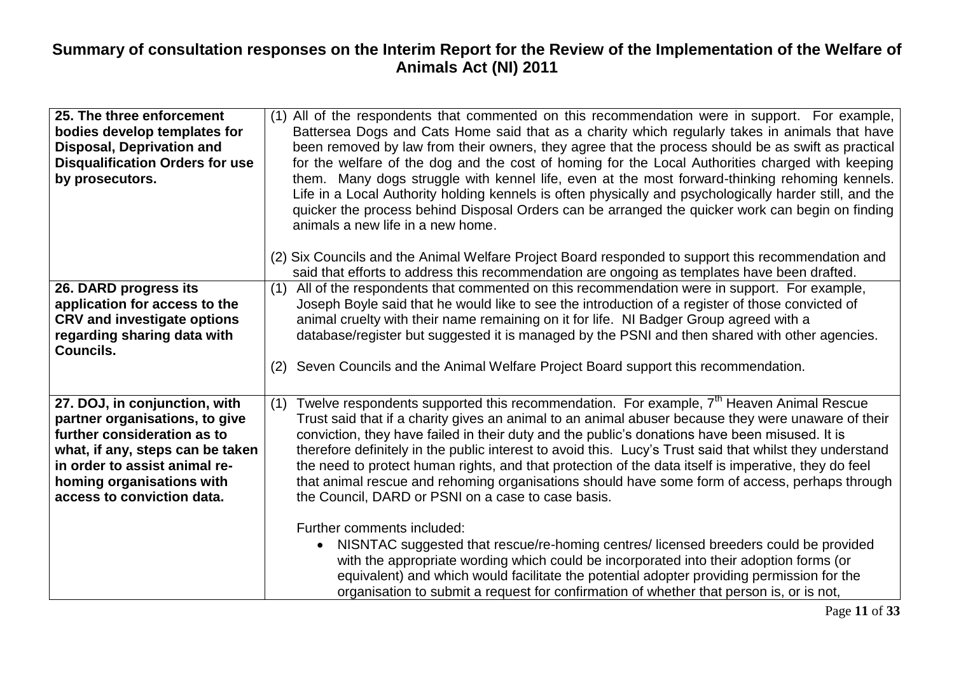| 25. The three enforcement<br>bodies develop templates for<br><b>Disposal, Deprivation and</b><br><b>Disqualification Orders for use</b><br>by prosecutors.                                                                     | (1) All of the respondents that commented on this recommendation were in support. For example,<br>Battersea Dogs and Cats Home said that as a charity which regularly takes in animals that have<br>been removed by law from their owners, they agree that the process should be as swift as practical<br>for the welfare of the dog and the cost of homing for the Local Authorities charged with keeping<br>them. Many dogs struggle with kennel life, even at the most forward-thinking rehoming kennels.<br>Life in a Local Authority holding kennels is often physically and psychologically harder still, and the<br>quicker the process behind Disposal Orders can be arranged the quicker work can begin on finding<br>animals a new life in a new home.<br>(2) Six Councils and the Animal Welfare Project Board responded to support this recommendation and<br>said that efforts to address this recommendation are ongoing as templates have been drafted. |
|--------------------------------------------------------------------------------------------------------------------------------------------------------------------------------------------------------------------------------|------------------------------------------------------------------------------------------------------------------------------------------------------------------------------------------------------------------------------------------------------------------------------------------------------------------------------------------------------------------------------------------------------------------------------------------------------------------------------------------------------------------------------------------------------------------------------------------------------------------------------------------------------------------------------------------------------------------------------------------------------------------------------------------------------------------------------------------------------------------------------------------------------------------------------------------------------------------------|
| 26. DARD progress its<br>application for access to the<br><b>CRV and investigate options</b><br>regarding sharing data with<br>Councils.                                                                                       | All of the respondents that commented on this recommendation were in support. For example,<br>(1)<br>Joseph Boyle said that he would like to see the introduction of a register of those convicted of<br>animal cruelty with their name remaining on it for life. NI Badger Group agreed with a<br>database/register but suggested it is managed by the PSNI and then shared with other agencies.<br>Seven Councils and the Animal Welfare Project Board support this recommendation.<br>(2)                                                                                                                                                                                                                                                                                                                                                                                                                                                                           |
| 27. DOJ, in conjunction, with<br>partner organisations, to give<br>further consideration as to<br>what, if any, steps can be taken<br>in order to assist animal re-<br>homing organisations with<br>access to conviction data. | Twelve respondents supported this recommendation. For example, 7 <sup>th</sup> Heaven Animal Rescue<br>(1)<br>Trust said that if a charity gives an animal to an animal abuser because they were unaware of their<br>conviction, they have failed in their duty and the public's donations have been misused. It is<br>therefore definitely in the public interest to avoid this. Lucy's Trust said that whilst they understand<br>the need to protect human rights, and that protection of the data itself is imperative, they do feel<br>that animal rescue and rehoming organisations should have some form of access, perhaps through<br>the Council, DARD or PSNI on a case to case basis.                                                                                                                                                                                                                                                                        |
|                                                                                                                                                                                                                                | Further comments included:<br>NISNTAC suggested that rescue/re-homing centres/ licensed breeders could be provided<br>with the appropriate wording which could be incorporated into their adoption forms (or<br>equivalent) and which would facilitate the potential adopter providing permission for the<br>organisation to submit a request for confirmation of whether that person is, or is not,                                                                                                                                                                                                                                                                                                                                                                                                                                                                                                                                                                   |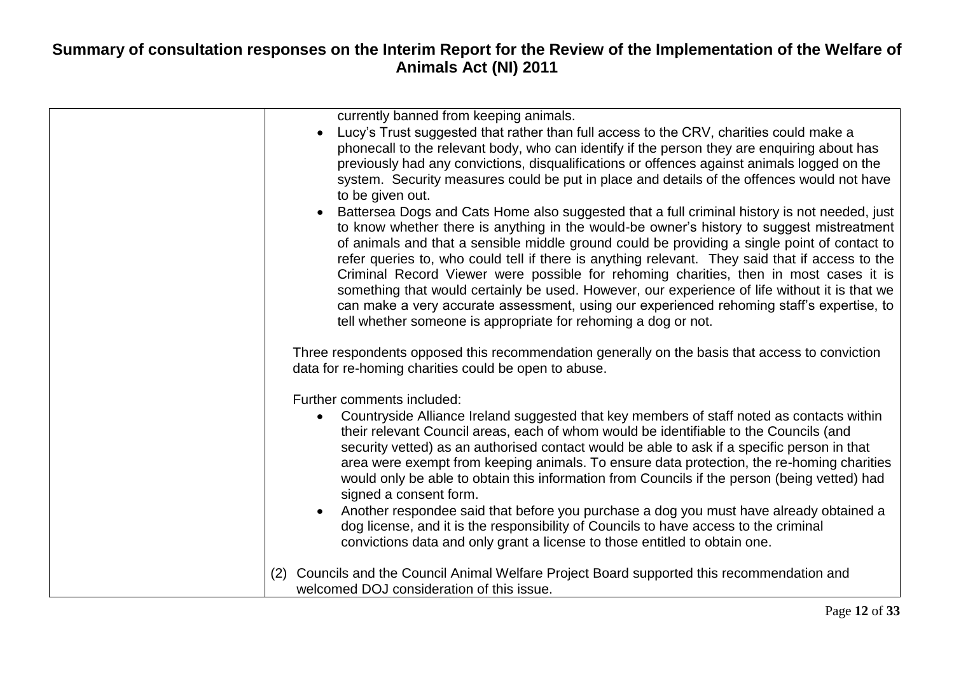|     | currently banned from keeping animals.<br>Lucy's Trust suggested that rather than full access to the CRV, charities could make a<br>$\bullet$<br>phonecall to the relevant body, who can identify if the person they are enquiring about has<br>previously had any convictions, disqualifications or offences against animals logged on the<br>system. Security measures could be put in place and details of the offences would not have<br>to be given out.<br>Battersea Dogs and Cats Home also suggested that a full criminal history is not needed, just<br>to know whether there is anything in the would-be owner's history to suggest mistreatment<br>of animals and that a sensible middle ground could be providing a single point of contact to<br>refer queries to, who could tell if there is anything relevant. They said that if access to the<br>Criminal Record Viewer were possible for rehoming charities, then in most cases it is<br>something that would certainly be used. However, our experience of life without it is that we<br>can make a very accurate assessment, using our experienced rehoming staff's expertise, to<br>tell whether someone is appropriate for rehoming a dog or not. |
|-----|------------------------------------------------------------------------------------------------------------------------------------------------------------------------------------------------------------------------------------------------------------------------------------------------------------------------------------------------------------------------------------------------------------------------------------------------------------------------------------------------------------------------------------------------------------------------------------------------------------------------------------------------------------------------------------------------------------------------------------------------------------------------------------------------------------------------------------------------------------------------------------------------------------------------------------------------------------------------------------------------------------------------------------------------------------------------------------------------------------------------------------------------------------------------------------------------------------------------|
|     | Three respondents opposed this recommendation generally on the basis that access to conviction<br>data for re-homing charities could be open to abuse.                                                                                                                                                                                                                                                                                                                                                                                                                                                                                                                                                                                                                                                                                                                                                                                                                                                                                                                                                                                                                                                                 |
|     | Further comments included:<br>Countryside Alliance Ireland suggested that key members of staff noted as contacts within<br>$\bullet$<br>their relevant Council areas, each of whom would be identifiable to the Councils (and<br>security vetted) as an authorised contact would be able to ask if a specific person in that<br>area were exempt from keeping animals. To ensure data protection, the re-homing charities<br>would only be able to obtain this information from Councils if the person (being vetted) had<br>signed a consent form.<br>Another respondee said that before you purchase a dog you must have already obtained a<br>$\bullet$<br>dog license, and it is the responsibility of Councils to have access to the criminal<br>convictions data and only grant a license to those entitled to obtain one.                                                                                                                                                                                                                                                                                                                                                                                       |
| (2) | Councils and the Council Animal Welfare Project Board supported this recommendation and<br>welcomed DOJ consideration of this issue.                                                                                                                                                                                                                                                                                                                                                                                                                                                                                                                                                                                                                                                                                                                                                                                                                                                                                                                                                                                                                                                                                   |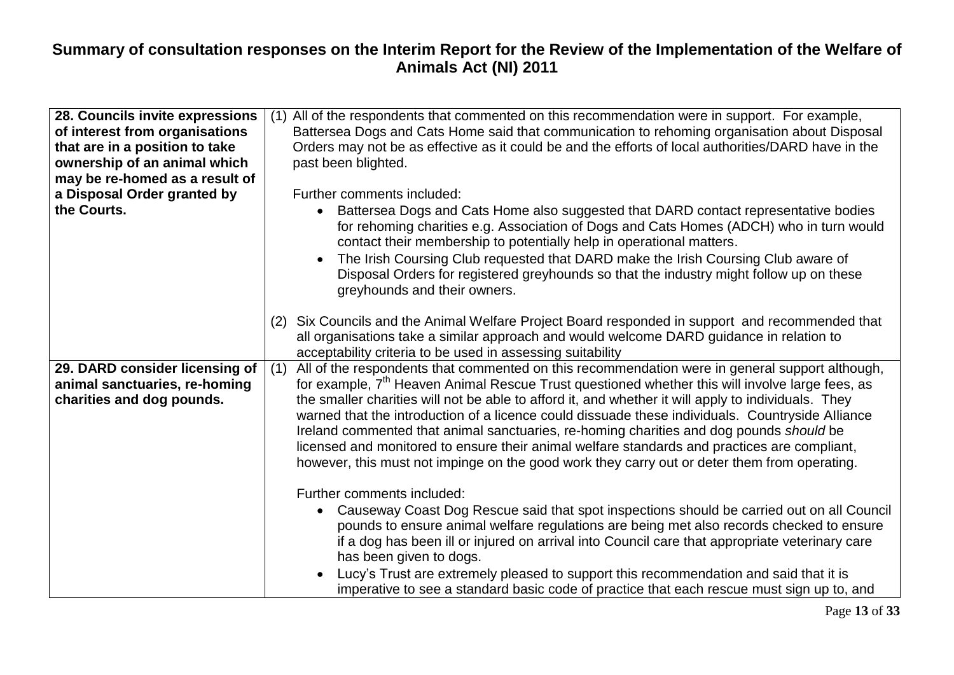| 28. Councils invite expressions                                                              | (1) All of the respondents that commented on this recommendation were in support. For example,                                                                                                                                                                                                                                                                                                                                                                                                                                                                                                                                                                                                                             |
|----------------------------------------------------------------------------------------------|----------------------------------------------------------------------------------------------------------------------------------------------------------------------------------------------------------------------------------------------------------------------------------------------------------------------------------------------------------------------------------------------------------------------------------------------------------------------------------------------------------------------------------------------------------------------------------------------------------------------------------------------------------------------------------------------------------------------------|
| of interest from organisations                                                               | Battersea Dogs and Cats Home said that communication to rehoming organisation about Disposal                                                                                                                                                                                                                                                                                                                                                                                                                                                                                                                                                                                                                               |
| that are in a position to take                                                               | Orders may not be as effective as it could be and the efforts of local authorities/DARD have in the                                                                                                                                                                                                                                                                                                                                                                                                                                                                                                                                                                                                                        |
| ownership of an animal which                                                                 | past been blighted.                                                                                                                                                                                                                                                                                                                                                                                                                                                                                                                                                                                                                                                                                                        |
| may be re-homed as a result of                                                               |                                                                                                                                                                                                                                                                                                                                                                                                                                                                                                                                                                                                                                                                                                                            |
| a Disposal Order granted by                                                                  | Further comments included:                                                                                                                                                                                                                                                                                                                                                                                                                                                                                                                                                                                                                                                                                                 |
| the Courts.                                                                                  | Battersea Dogs and Cats Home also suggested that DARD contact representative bodies<br>for rehoming charities e.g. Association of Dogs and Cats Homes (ADCH) who in turn would<br>contact their membership to potentially help in operational matters.                                                                                                                                                                                                                                                                                                                                                                                                                                                                     |
|                                                                                              | The Irish Coursing Club requested that DARD make the Irish Coursing Club aware of<br>Disposal Orders for registered greyhounds so that the industry might follow up on these<br>greyhounds and their owners.                                                                                                                                                                                                                                                                                                                                                                                                                                                                                                               |
|                                                                                              | Six Councils and the Animal Welfare Project Board responded in support and recommended that<br>(2)<br>all organisations take a similar approach and would welcome DARD guidance in relation to<br>acceptability criteria to be used in assessing suitability                                                                                                                                                                                                                                                                                                                                                                                                                                                               |
| 29. DARD consider licensing of<br>animal sanctuaries, re-homing<br>charities and dog pounds. | All of the respondents that commented on this recommendation were in general support although,<br>(1)<br>for example, 7 <sup>th</sup> Heaven Animal Rescue Trust questioned whether this will involve large fees, as<br>the smaller charities will not be able to afford it, and whether it will apply to individuals. They<br>warned that the introduction of a licence could dissuade these individuals. Countryside Alliance<br>Ireland commented that animal sanctuaries, re-homing charities and dog pounds should be<br>licensed and monitored to ensure their animal welfare standards and practices are compliant,<br>however, this must not impinge on the good work they carry out or deter them from operating. |
|                                                                                              | Further comments included:<br>• Causeway Coast Dog Rescue said that spot inspections should be carried out on all Council<br>pounds to ensure animal welfare regulations are being met also records checked to ensure<br>if a dog has been ill or injured on arrival into Council care that appropriate veterinary care<br>has been given to dogs.<br>Lucy's Trust are extremely pleased to support this recommendation and said that it is<br>imperative to see a standard basic code of practice that each rescue must sign up to, and                                                                                                                                                                                   |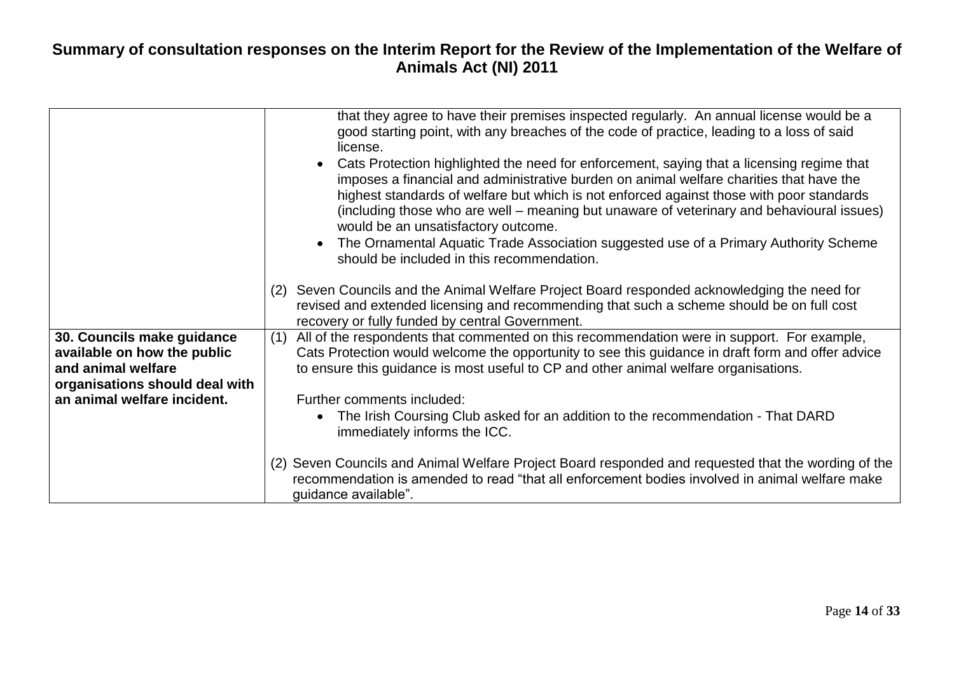|                                | that they agree to have their premises inspected regularly. An annual license would be a<br>good starting point, with any breaches of the code of practice, leading to a loss of said<br>license.<br>Cats Protection highlighted the need for enforcement, saying that a licensing regime that<br>imposes a financial and administrative burden on animal welfare charities that have the<br>highest standards of welfare but which is not enforced against those with poor standards<br>(including those who are well – meaning but unaware of veterinary and behavioural issues)<br>would be an unsatisfactory outcome.<br>The Ornamental Aquatic Trade Association suggested use of a Primary Authority Scheme<br>should be included in this recommendation. |
|--------------------------------|-----------------------------------------------------------------------------------------------------------------------------------------------------------------------------------------------------------------------------------------------------------------------------------------------------------------------------------------------------------------------------------------------------------------------------------------------------------------------------------------------------------------------------------------------------------------------------------------------------------------------------------------------------------------------------------------------------------------------------------------------------------------|
|                                |                                                                                                                                                                                                                                                                                                                                                                                                                                                                                                                                                                                                                                                                                                                                                                 |
|                                | Seven Councils and the Animal Welfare Project Board responded acknowledging the need for<br>(2)<br>revised and extended licensing and recommending that such a scheme should be on full cost<br>recovery or fully funded by central Government.                                                                                                                                                                                                                                                                                                                                                                                                                                                                                                                 |
| 30. Councils make guidance     | All of the respondents that commented on this recommendation were in support. For example,<br>(1)                                                                                                                                                                                                                                                                                                                                                                                                                                                                                                                                                                                                                                                               |
| available on how the public    | Cats Protection would welcome the opportunity to see this guidance in draft form and offer advice                                                                                                                                                                                                                                                                                                                                                                                                                                                                                                                                                                                                                                                               |
| and animal welfare             | to ensure this guidance is most useful to CP and other animal welfare organisations.                                                                                                                                                                                                                                                                                                                                                                                                                                                                                                                                                                                                                                                                            |
| organisations should deal with |                                                                                                                                                                                                                                                                                                                                                                                                                                                                                                                                                                                                                                                                                                                                                                 |
| an animal welfare incident.    | Further comments included:                                                                                                                                                                                                                                                                                                                                                                                                                                                                                                                                                                                                                                                                                                                                      |
|                                | The Irish Coursing Club asked for an addition to the recommendation - That DARD<br>immediately informs the ICC.                                                                                                                                                                                                                                                                                                                                                                                                                                                                                                                                                                                                                                                 |
|                                | (2) Seven Councils and Animal Welfare Project Board responded and requested that the wording of the<br>recommendation is amended to read "that all enforcement bodies involved in animal welfare make<br>guidance available".                                                                                                                                                                                                                                                                                                                                                                                                                                                                                                                                   |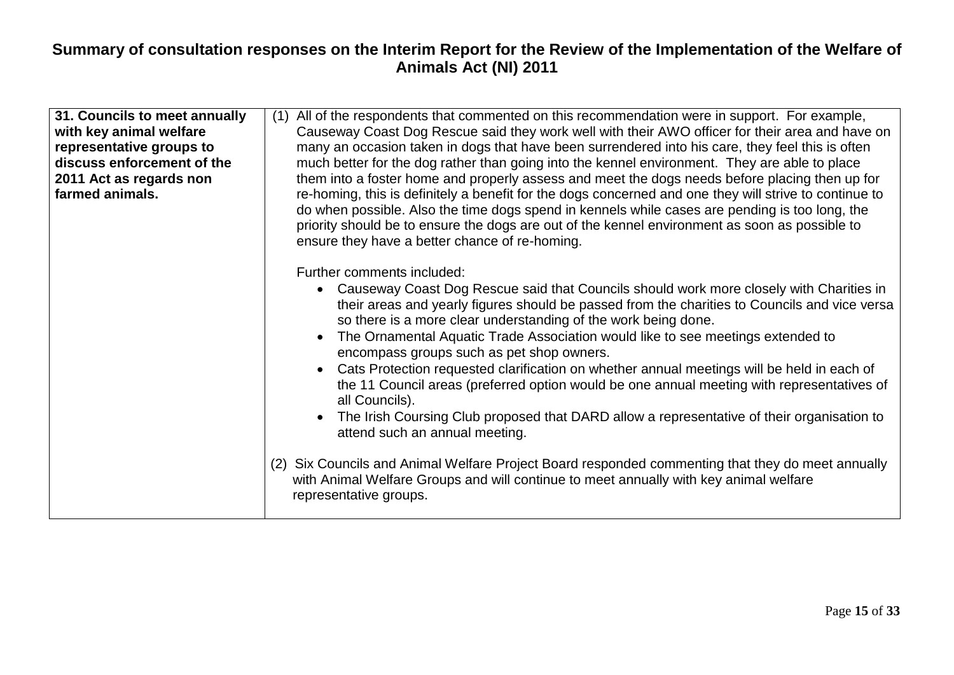| 31. Councils to meet annually<br>with key animal welfare<br>representative groups to<br>discuss enforcement of the<br>2011 Act as regards non<br>farmed animals. | All of the respondents that commented on this recommendation were in support. For example,<br>(1)<br>Causeway Coast Dog Rescue said they work well with their AWO officer for their area and have on<br>many an occasion taken in dogs that have been surrendered into his care, they feel this is often<br>much better for the dog rather than going into the kennel environment. They are able to place<br>them into a foster home and properly assess and meet the dogs needs before placing then up for<br>re-homing, this is definitely a benefit for the dogs concerned and one they will strive to continue to<br>do when possible. Also the time dogs spend in kennels while cases are pending is too long, the<br>priority should be to ensure the dogs are out of the kennel environment as soon as possible to<br>ensure they have a better chance of re-homing.                                                                                                                      |
|------------------------------------------------------------------------------------------------------------------------------------------------------------------|--------------------------------------------------------------------------------------------------------------------------------------------------------------------------------------------------------------------------------------------------------------------------------------------------------------------------------------------------------------------------------------------------------------------------------------------------------------------------------------------------------------------------------------------------------------------------------------------------------------------------------------------------------------------------------------------------------------------------------------------------------------------------------------------------------------------------------------------------------------------------------------------------------------------------------------------------------------------------------------------------|
|                                                                                                                                                                  | Further comments included:<br>• Causeway Coast Dog Rescue said that Councils should work more closely with Charities in<br>their areas and yearly figures should be passed from the charities to Councils and vice versa<br>so there is a more clear understanding of the work being done.<br>The Ornamental Aquatic Trade Association would like to see meetings extended to<br>encompass groups such as pet shop owners.<br>Cats Protection requested clarification on whether annual meetings will be held in each of<br>the 11 Council areas (preferred option would be one annual meeting with representatives of<br>all Councils).<br>The Irish Coursing Club proposed that DARD allow a representative of their organisation to<br>attend such an annual meeting.<br>(2) Six Councils and Animal Welfare Project Board responded commenting that they do meet annually<br>with Animal Welfare Groups and will continue to meet annually with key animal welfare<br>representative groups. |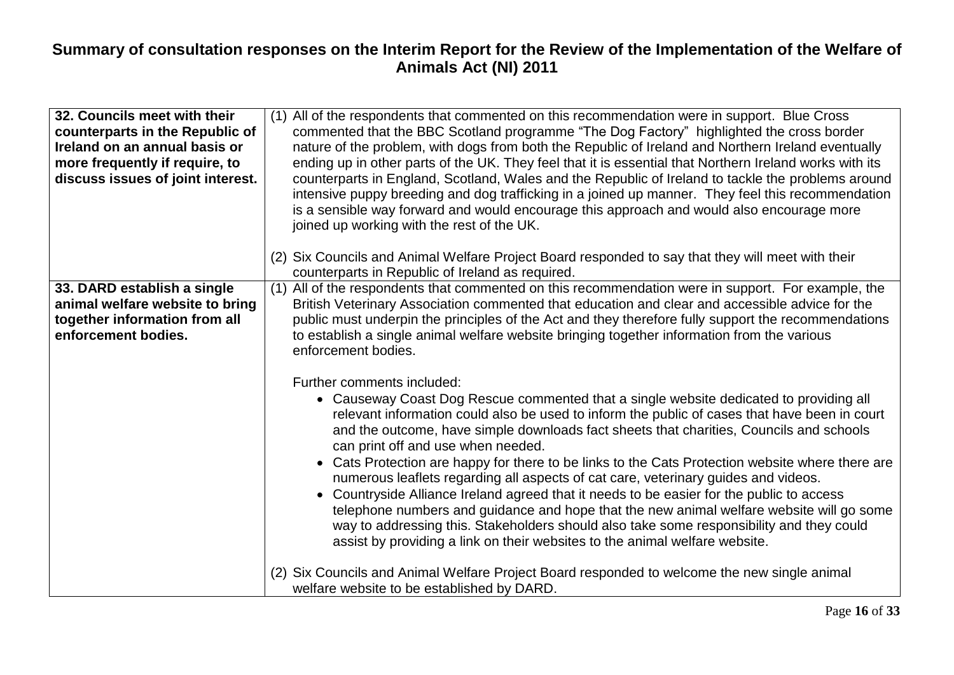| 32. Councils meet with their<br>counterparts in the Republic of<br>Ireland on an annual basis or<br>more frequently if require, to<br>discuss issues of joint interest. | (1) All of the respondents that commented on this recommendation were in support. Blue Cross<br>commented that the BBC Scotland programme "The Dog Factory" highlighted the cross border<br>nature of the problem, with dogs from both the Republic of Ireland and Northern Ireland eventually<br>ending up in other parts of the UK. They feel that it is essential that Northern Ireland works with its<br>counterparts in England, Scotland, Wales and the Republic of Ireland to tackle the problems around<br>intensive puppy breeding and dog trafficking in a joined up manner. They feel this recommendation<br>is a sensible way forward and would encourage this approach and would also encourage more<br>joined up working with the rest of the UK.<br>(2) Six Councils and Animal Welfare Project Board responded to say that they will meet with their                                               |
|-------------------------------------------------------------------------------------------------------------------------------------------------------------------------|--------------------------------------------------------------------------------------------------------------------------------------------------------------------------------------------------------------------------------------------------------------------------------------------------------------------------------------------------------------------------------------------------------------------------------------------------------------------------------------------------------------------------------------------------------------------------------------------------------------------------------------------------------------------------------------------------------------------------------------------------------------------------------------------------------------------------------------------------------------------------------------------------------------------|
|                                                                                                                                                                         | counterparts in Republic of Ireland as required.                                                                                                                                                                                                                                                                                                                                                                                                                                                                                                                                                                                                                                                                                                                                                                                                                                                                   |
| 33. DARD establish a single<br>animal welfare website to bring<br>together information from all<br>enforcement bodies.                                                  | (1) All of the respondents that commented on this recommendation were in support. For example, the<br>British Veterinary Association commented that education and clear and accessible advice for the<br>public must underpin the principles of the Act and they therefore fully support the recommendations<br>to establish a single animal welfare website bringing together information from the various<br>enforcement bodies.                                                                                                                                                                                                                                                                                                                                                                                                                                                                                 |
|                                                                                                                                                                         | Further comments included:<br>• Causeway Coast Dog Rescue commented that a single website dedicated to providing all<br>relevant information could also be used to inform the public of cases that have been in court<br>and the outcome, have simple downloads fact sheets that charities, Councils and schools<br>can print off and use when needed.<br>• Cats Protection are happy for there to be links to the Cats Protection website where there are<br>numerous leaflets regarding all aspects of cat care, veterinary guides and videos.<br>Countryside Alliance Ireland agreed that it needs to be easier for the public to access<br>telephone numbers and guidance and hope that the new animal welfare website will go some<br>way to addressing this. Stakeholders should also take some responsibility and they could<br>assist by providing a link on their websites to the animal welfare website. |
|                                                                                                                                                                         | (2) Six Councils and Animal Welfare Project Board responded to welcome the new single animal<br>welfare website to be established by DARD.                                                                                                                                                                                                                                                                                                                                                                                                                                                                                                                                                                                                                                                                                                                                                                         |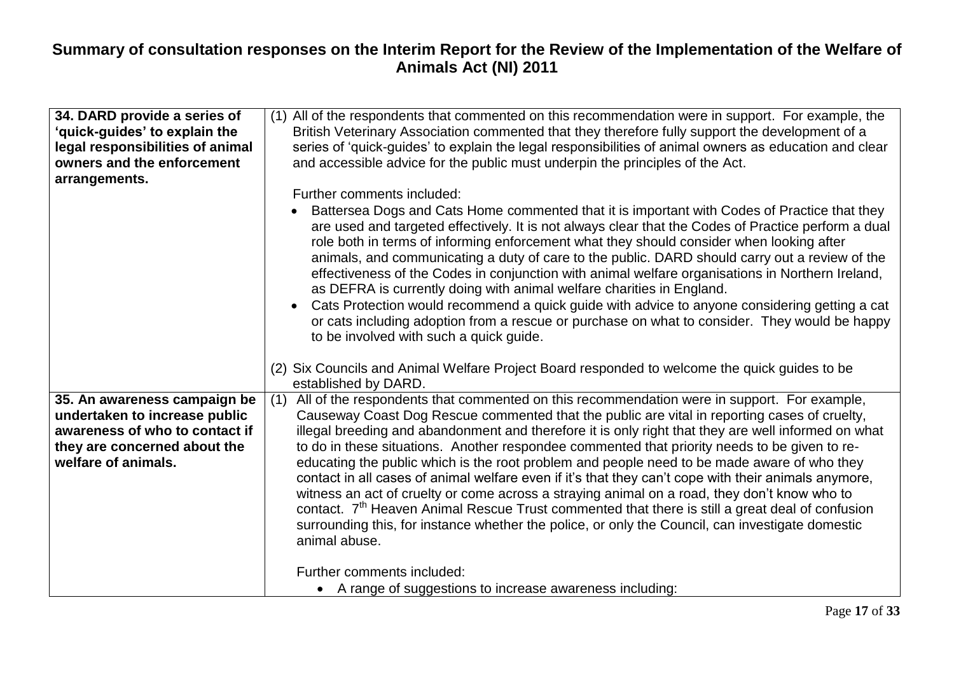| 34. DARD provide a series of<br>'quick-guides' to explain the<br>legal responsibilities of animal<br>owners and the enforcement<br>arrangements.       | (1) All of the respondents that commented on this recommendation were in support. For example, the<br>British Veterinary Association commented that they therefore fully support the development of a<br>series of 'quick-guides' to explain the legal responsibilities of animal owners as education and clear<br>and accessible advice for the public must underpin the principles of the Act.<br>Further comments included:                                                                                                                                                                                                                                                                                                                                                                                                                                                                                                                       |
|--------------------------------------------------------------------------------------------------------------------------------------------------------|------------------------------------------------------------------------------------------------------------------------------------------------------------------------------------------------------------------------------------------------------------------------------------------------------------------------------------------------------------------------------------------------------------------------------------------------------------------------------------------------------------------------------------------------------------------------------------------------------------------------------------------------------------------------------------------------------------------------------------------------------------------------------------------------------------------------------------------------------------------------------------------------------------------------------------------------------|
|                                                                                                                                                        | Battersea Dogs and Cats Home commented that it is important with Codes of Practice that they<br>are used and targeted effectively. It is not always clear that the Codes of Practice perform a dual<br>role both in terms of informing enforcement what they should consider when looking after<br>animals, and communicating a duty of care to the public. DARD should carry out a review of the<br>effectiveness of the Codes in conjunction with animal welfare organisations in Northern Ireland,<br>as DEFRA is currently doing with animal welfare charities in England.<br>Cats Protection would recommend a quick guide with advice to anyone considering getting a cat<br>$\bullet$<br>or cats including adoption from a rescue or purchase on what to consider. They would be happy<br>to be involved with such a quick guide.                                                                                                             |
|                                                                                                                                                        | (2) Six Councils and Animal Welfare Project Board responded to welcome the quick guides to be<br>established by DARD.                                                                                                                                                                                                                                                                                                                                                                                                                                                                                                                                                                                                                                                                                                                                                                                                                                |
| 35. An awareness campaign be<br>undertaken to increase public<br>awareness of who to contact if<br>they are concerned about the<br>welfare of animals. | All of the respondents that commented on this recommendation were in support. For example,<br>(1)<br>Causeway Coast Dog Rescue commented that the public are vital in reporting cases of cruelty,<br>illegal breeding and abandonment and therefore it is only right that they are well informed on what<br>to do in these situations. Another respondee commented that priority needs to be given to re-<br>educating the public which is the root problem and people need to be made aware of who they<br>contact in all cases of animal welfare even if it's that they can't cope with their animals anymore,<br>witness an act of cruelty or come across a straying animal on a road, they don't know who to<br>contact. 7 <sup>th</sup> Heaven Animal Rescue Trust commented that there is still a great deal of confusion<br>surrounding this, for instance whether the police, or only the Council, can investigate domestic<br>animal abuse. |
|                                                                                                                                                        | Further comments included:<br>• A range of suggestions to increase awareness including:                                                                                                                                                                                                                                                                                                                                                                                                                                                                                                                                                                                                                                                                                                                                                                                                                                                              |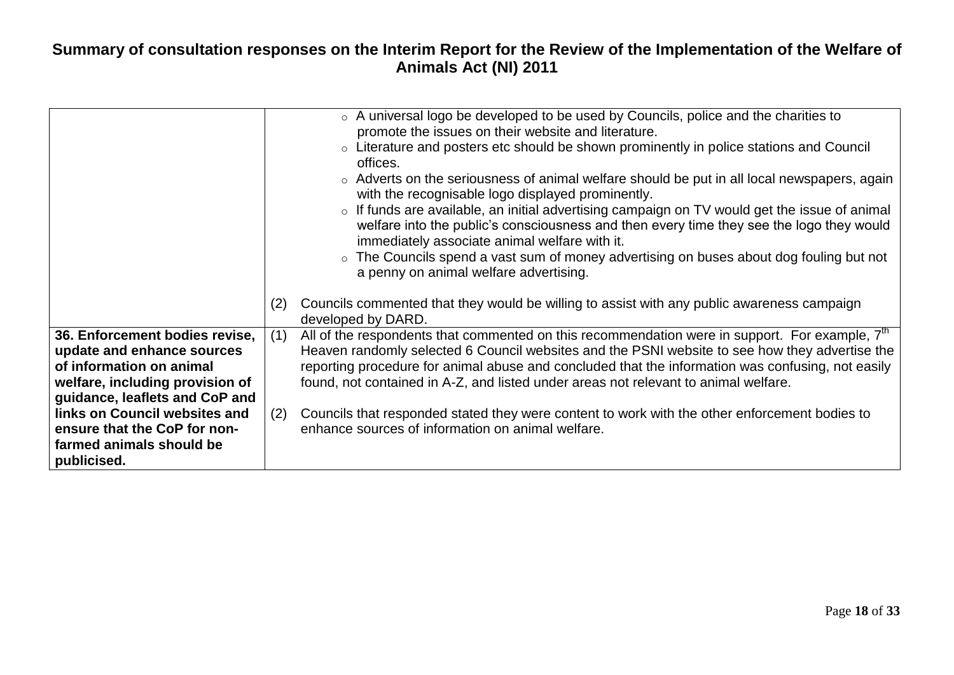|                                                                                                                                                                                                                                                            | ○ A universal logo be developed to be used by Councils, police and the charities to<br>promote the issues on their website and literature.<br>○ Literature and posters etc should be shown prominently in police stations and Council<br>offices.<br>$\circ$ Adverts on the seriousness of animal welfare should be put in all local newspapers, again<br>with the recognisable logo displayed prominently.<br>o If funds are available, an initial advertising campaign on TV would get the issue of animal<br>welfare into the public's consciousness and then every time they see the logo they would<br>immediately associate animal welfare with it.<br>$\circ$ The Councils spend a vast sum of money advertising on buses about dog fouling but not<br>a penny on animal welfare advertising. |
|------------------------------------------------------------------------------------------------------------------------------------------------------------------------------------------------------------------------------------------------------------|------------------------------------------------------------------------------------------------------------------------------------------------------------------------------------------------------------------------------------------------------------------------------------------------------------------------------------------------------------------------------------------------------------------------------------------------------------------------------------------------------------------------------------------------------------------------------------------------------------------------------------------------------------------------------------------------------------------------------------------------------------------------------------------------------|
|                                                                                                                                                                                                                                                            | Councils commented that they would be willing to assist with any public awareness campaign<br>(2)<br>developed by DARD.                                                                                                                                                                                                                                                                                                                                                                                                                                                                                                                                                                                                                                                                              |
| 36. Enforcement bodies revise,<br>update and enhance sources<br>of information on animal<br>welfare, including provision of<br>guidance, leaflets and CoP and<br>links on Council websites and<br>ensure that the CoP for non-<br>farmed animals should be | All of the respondents that commented on this recommendation were in support. For example, $7m$<br>(1)<br>Heaven randomly selected 6 Council websites and the PSNI website to see how they advertise the<br>reporting procedure for animal abuse and concluded that the information was confusing, not easily<br>found, not contained in A-Z, and listed under areas not relevant to animal welfare.<br>Councils that responded stated they were content to work with the other enforcement bodies to<br>(2)<br>enhance sources of information on animal welfare.                                                                                                                                                                                                                                    |
| publicised.                                                                                                                                                                                                                                                |                                                                                                                                                                                                                                                                                                                                                                                                                                                                                                                                                                                                                                                                                                                                                                                                      |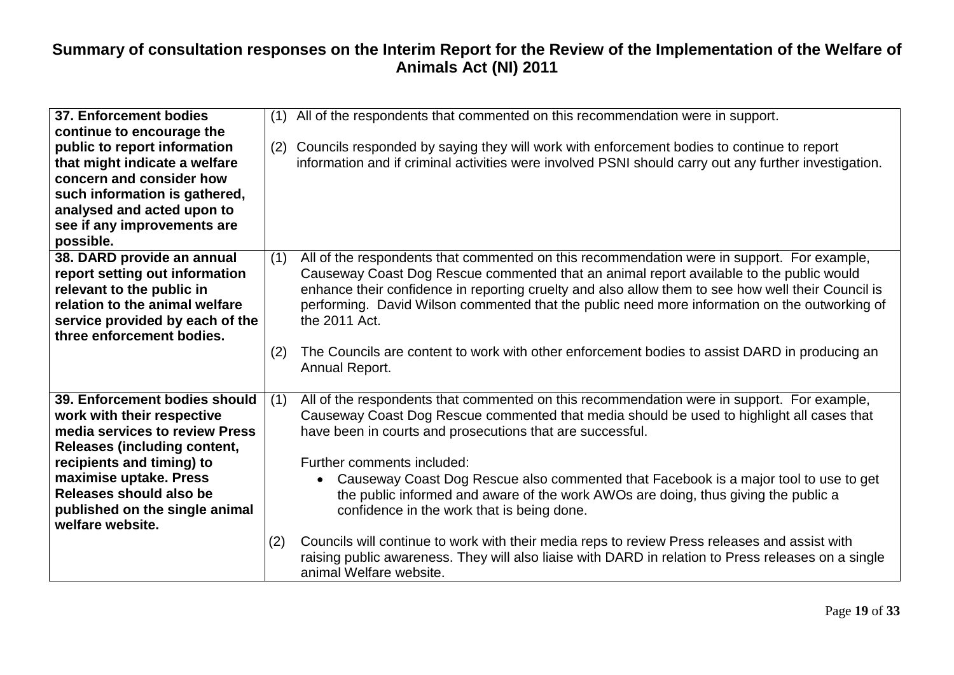| 37. Enforcement bodies<br>continue to encourage the<br>public to report information<br>that might indicate a welfare<br>concern and consider how<br>such information is gathered,<br>analysed and acted upon to<br>see if any improvements are<br>possible.                  | (1)<br>(2) | All of the respondents that commented on this recommendation were in support.<br>Councils responded by saying they will work with enforcement bodies to continue to report<br>information and if criminal activities were involved PSNI should carry out any further investigation.                                                                                                                                                                                                                                                                                                                                                                                                                                                               |
|------------------------------------------------------------------------------------------------------------------------------------------------------------------------------------------------------------------------------------------------------------------------------|------------|---------------------------------------------------------------------------------------------------------------------------------------------------------------------------------------------------------------------------------------------------------------------------------------------------------------------------------------------------------------------------------------------------------------------------------------------------------------------------------------------------------------------------------------------------------------------------------------------------------------------------------------------------------------------------------------------------------------------------------------------------|
| 38. DARD provide an annual<br>report setting out information<br>relevant to the public in<br>relation to the animal welfare<br>service provided by each of the<br>three enforcement bodies.                                                                                  | (1)<br>(2) | All of the respondents that commented on this recommendation were in support. For example,<br>Causeway Coast Dog Rescue commented that an animal report available to the public would<br>enhance their confidence in reporting cruelty and also allow them to see how well their Council is<br>performing. David Wilson commented that the public need more information on the outworking of<br>the 2011 Act.<br>The Councils are content to work with other enforcement bodies to assist DARD in producing an<br>Annual Report.                                                                                                                                                                                                                  |
| 39. Enforcement bodies should<br>work with their respective<br>media services to review Press<br><b>Releases (including content,</b><br>recipients and timing) to<br>maximise uptake. Press<br>Releases should also be<br>published on the single animal<br>welfare website. | (1)<br>(2) | All of the respondents that commented on this recommendation were in support. For example,<br>Causeway Coast Dog Rescue commented that media should be used to highlight all cases that<br>have been in courts and prosecutions that are successful.<br>Further comments included:<br>Causeway Coast Dog Rescue also commented that Facebook is a major tool to use to get<br>the public informed and aware of the work AWOs are doing, thus giving the public a<br>confidence in the work that is being done.<br>Councils will continue to work with their media reps to review Press releases and assist with<br>raising public awareness. They will also liaise with DARD in relation to Press releases on a single<br>animal Welfare website. |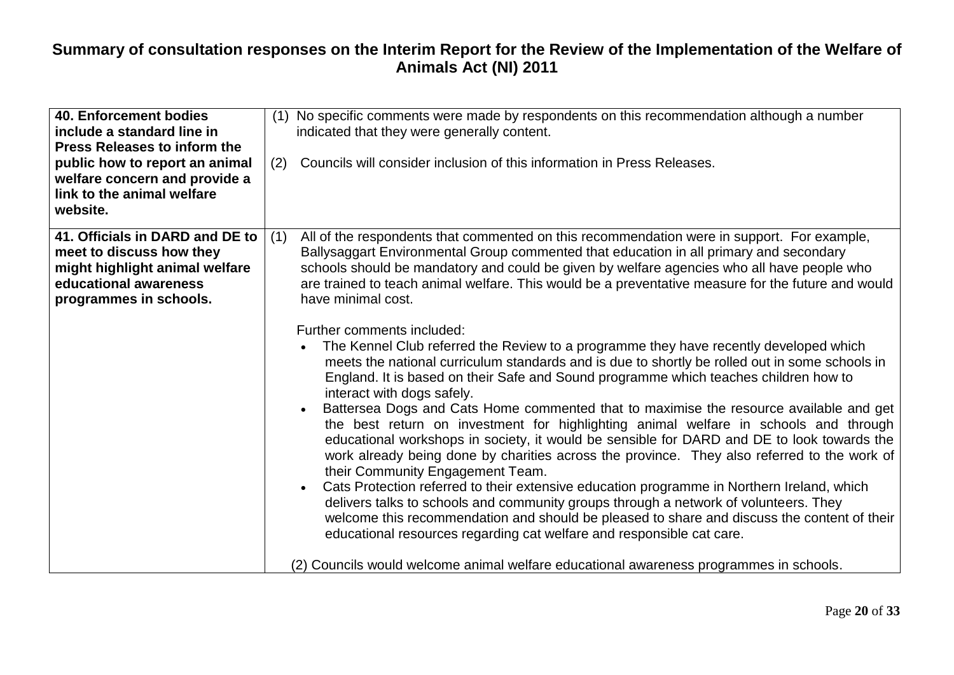| <b>40. Enforcement bodies</b><br>include a standard line in<br><b>Press Releases to inform the</b><br>public how to report an animal<br>welfare concern and provide a<br>link to the animal welfare | (1) No specific comments were made by respondents on this recommendation although a number<br>indicated that they were generally content.<br>Councils will consider inclusion of this information in Press Releases.<br>(2)                                                                                                                                                                                                                                                                                                                                                                                                                                                                                                                                                                                                                                                                                                                                                                                                                                                                                                                                                                                                                                                                                                                                                                                                                                                               |
|-----------------------------------------------------------------------------------------------------------------------------------------------------------------------------------------------------|-------------------------------------------------------------------------------------------------------------------------------------------------------------------------------------------------------------------------------------------------------------------------------------------------------------------------------------------------------------------------------------------------------------------------------------------------------------------------------------------------------------------------------------------------------------------------------------------------------------------------------------------------------------------------------------------------------------------------------------------------------------------------------------------------------------------------------------------------------------------------------------------------------------------------------------------------------------------------------------------------------------------------------------------------------------------------------------------------------------------------------------------------------------------------------------------------------------------------------------------------------------------------------------------------------------------------------------------------------------------------------------------------------------------------------------------------------------------------------------------|
| website.<br>41. Officials in DARD and DE to<br>meet to discuss how they<br>might highlight animal welfare<br>educational awareness<br>programmes in schools.                                        | All of the respondents that commented on this recommendation were in support. For example,<br>(1)<br>Ballysaggart Environmental Group commented that education in all primary and secondary<br>schools should be mandatory and could be given by welfare agencies who all have people who<br>are trained to teach animal welfare. This would be a preventative measure for the future and would<br>have minimal cost.<br>Further comments included:<br>The Kennel Club referred the Review to a programme they have recently developed which<br>meets the national curriculum standards and is due to shortly be rolled out in some schools in<br>England. It is based on their Safe and Sound programme which teaches children how to<br>interact with dogs safely.<br>Battersea Dogs and Cats Home commented that to maximise the resource available and get<br>the best return on investment for highlighting animal welfare in schools and through<br>educational workshops in society, it would be sensible for DARD and DE to look towards the<br>work already being done by charities across the province. They also referred to the work of<br>their Community Engagement Team.<br>Cats Protection referred to their extensive education programme in Northern Ireland, which<br>$\bullet$<br>delivers talks to schools and community groups through a network of volunteers. They<br>welcome this recommendation and should be pleased to share and discuss the content of their |
|                                                                                                                                                                                                     | educational resources regarding cat welfare and responsible cat care.<br>(2) Councils would welcome animal welfare educational awareness programmes in schools.                                                                                                                                                                                                                                                                                                                                                                                                                                                                                                                                                                                                                                                                                                                                                                                                                                                                                                                                                                                                                                                                                                                                                                                                                                                                                                                           |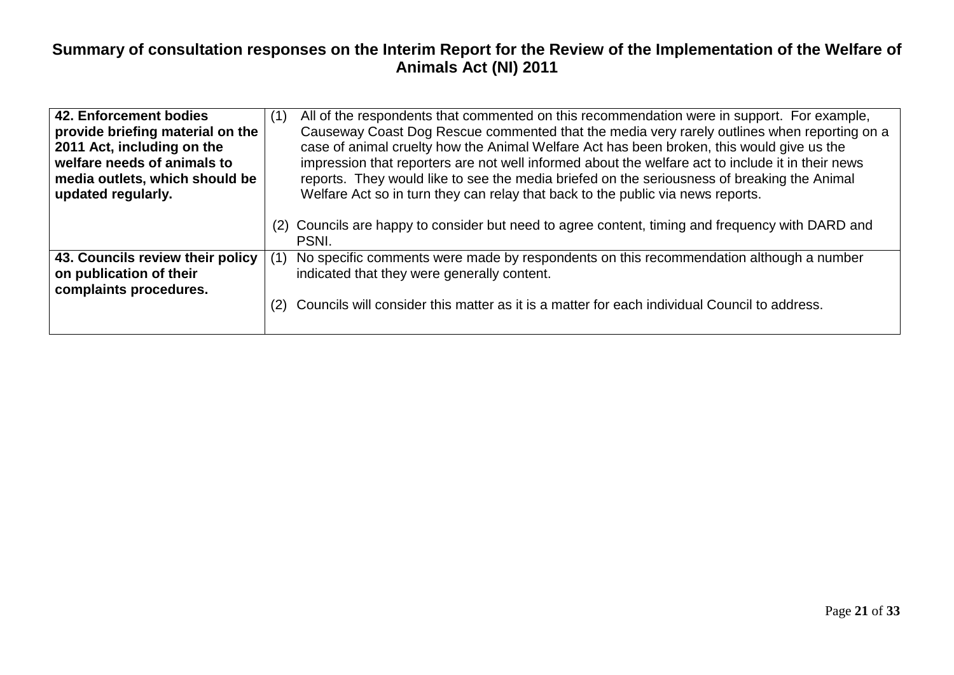| 42. Enforcement bodies<br>provide briefing material on the<br>2011 Act, including on the<br>welfare needs of animals to<br>media outlets, which should be<br>updated regularly. | (1) | All of the respondents that commented on this recommendation were in support. For example,<br>Causeway Coast Dog Rescue commented that the media very rarely outlines when reporting on a<br>case of animal cruelty how the Animal Welfare Act has been broken, this would give us the<br>impression that reporters are not well informed about the welfare act to include it in their news<br>reports. They would like to see the media briefed on the seriousness of breaking the Animal<br>Welfare Act so in turn they can relay that back to the public via news reports. |
|---------------------------------------------------------------------------------------------------------------------------------------------------------------------------------|-----|-------------------------------------------------------------------------------------------------------------------------------------------------------------------------------------------------------------------------------------------------------------------------------------------------------------------------------------------------------------------------------------------------------------------------------------------------------------------------------------------------------------------------------------------------------------------------------|
|                                                                                                                                                                                 | (2) | Councils are happy to consider but need to agree content, timing and frequency with DARD and<br>PSNI.                                                                                                                                                                                                                                                                                                                                                                                                                                                                         |
| 43. Councils review their policy<br>on publication of their<br>complaints procedures.                                                                                           | (1) | No specific comments were made by respondents on this recommendation although a number<br>indicated that they were generally content.                                                                                                                                                                                                                                                                                                                                                                                                                                         |
|                                                                                                                                                                                 |     | (2) Councils will consider this matter as it is a matter for each individual Council to address.                                                                                                                                                                                                                                                                                                                                                                                                                                                                              |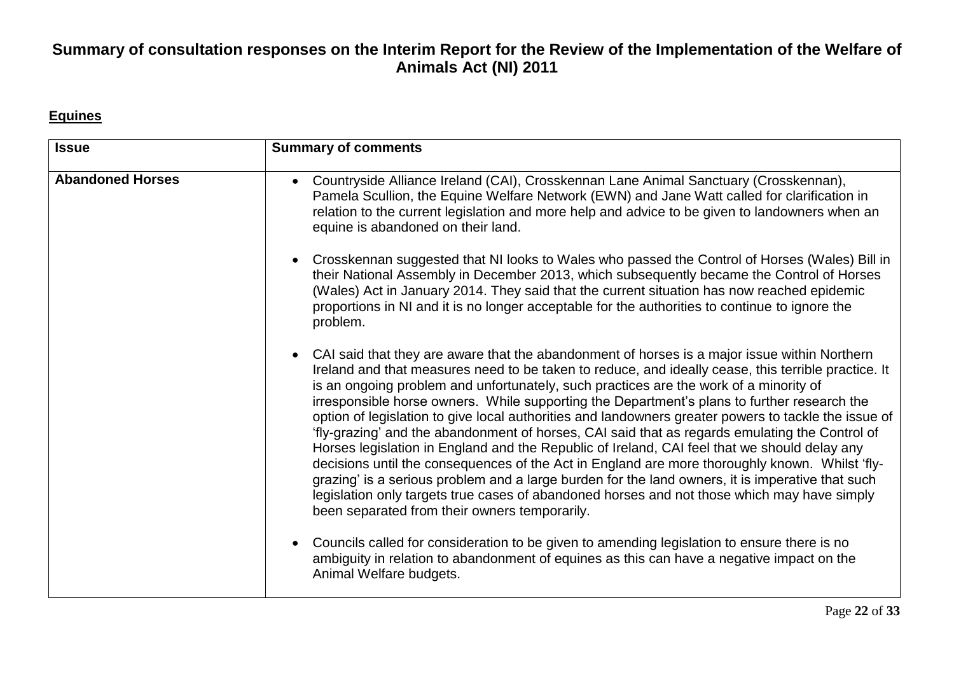#### **Equines**

| <b>Issue</b>            | <b>Summary of comments</b>                                                                                                                                                                                                                                                                                                                                                                                                                                                                                                                                                                                                                                                                                                                                                                                                                                                                                                                                                                                                                                               |
|-------------------------|--------------------------------------------------------------------------------------------------------------------------------------------------------------------------------------------------------------------------------------------------------------------------------------------------------------------------------------------------------------------------------------------------------------------------------------------------------------------------------------------------------------------------------------------------------------------------------------------------------------------------------------------------------------------------------------------------------------------------------------------------------------------------------------------------------------------------------------------------------------------------------------------------------------------------------------------------------------------------------------------------------------------------------------------------------------------------|
| <b>Abandoned Horses</b> | Countryside Alliance Ireland (CAI), Crosskennan Lane Animal Sanctuary (Crosskennan),<br>$\bullet$<br>Pamela Scullion, the Equine Welfare Network (EWN) and Jane Watt called for clarification in<br>relation to the current legislation and more help and advice to be given to landowners when an<br>equine is abandoned on their land.                                                                                                                                                                                                                                                                                                                                                                                                                                                                                                                                                                                                                                                                                                                                 |
|                         | Crosskennan suggested that NI looks to Wales who passed the Control of Horses (Wales) Bill in<br>$\bullet$<br>their National Assembly in December 2013, which subsequently became the Control of Horses<br>(Wales) Act in January 2014. They said that the current situation has now reached epidemic<br>proportions in NI and it is no longer acceptable for the authorities to continue to ignore the<br>problem.                                                                                                                                                                                                                                                                                                                                                                                                                                                                                                                                                                                                                                                      |
|                         | CAI said that they are aware that the abandonment of horses is a major issue within Northern<br>$\bullet$<br>Ireland and that measures need to be taken to reduce, and ideally cease, this terrible practice. It<br>is an ongoing problem and unfortunately, such practices are the work of a minority of<br>irresponsible horse owners. While supporting the Department's plans to further research the<br>option of legislation to give local authorities and landowners greater powers to tackle the issue of<br>'fly-grazing' and the abandonment of horses, CAI said that as regards emulating the Control of<br>Horses legislation in England and the Republic of Ireland, CAI feel that we should delay any<br>decisions until the consequences of the Act in England are more thoroughly known. Whilst 'fly-<br>grazing' is a serious problem and a large burden for the land owners, it is imperative that such<br>legislation only targets true cases of abandoned horses and not those which may have simply<br>been separated from their owners temporarily. |
|                         | Councils called for consideration to be given to amending legislation to ensure there is no<br>$\bullet$<br>ambiguity in relation to abandonment of equines as this can have a negative impact on the<br>Animal Welfare budgets.                                                                                                                                                                                                                                                                                                                                                                                                                                                                                                                                                                                                                                                                                                                                                                                                                                         |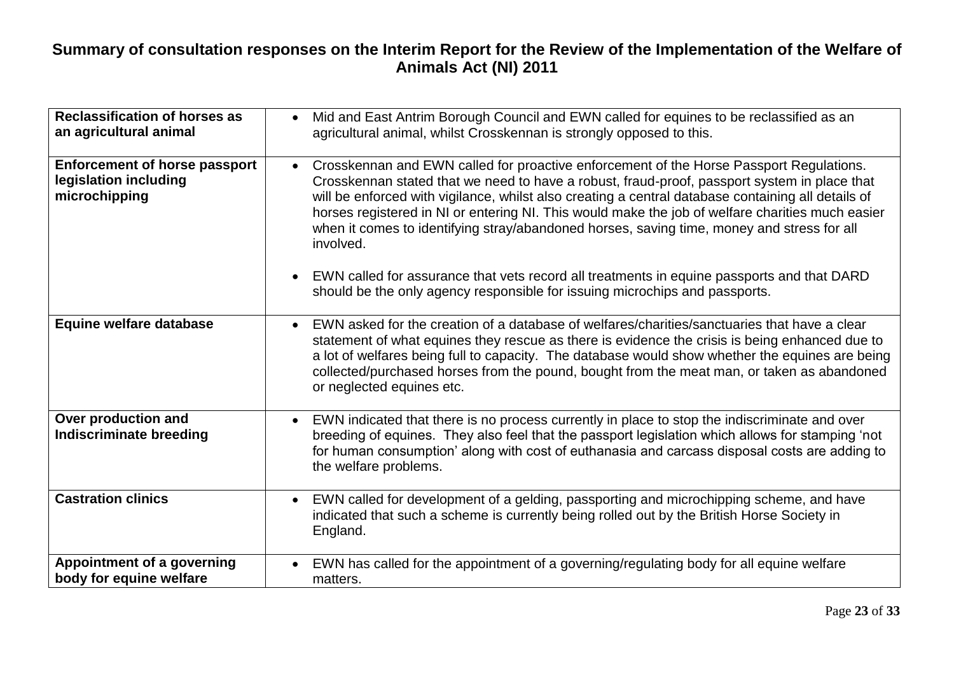| <b>Reclassification of horses as</b><br>an agricultural animal                 | Mid and East Antrim Borough Council and EWN called for equines to be reclassified as an<br>agricultural animal, whilst Crosskennan is strongly opposed to this.                                                                                                                                                                                                                                                                                                                                              |
|--------------------------------------------------------------------------------|--------------------------------------------------------------------------------------------------------------------------------------------------------------------------------------------------------------------------------------------------------------------------------------------------------------------------------------------------------------------------------------------------------------------------------------------------------------------------------------------------------------|
| <b>Enforcement of horse passport</b><br>legislation including<br>microchipping | Crosskennan and EWN called for proactive enforcement of the Horse Passport Regulations.<br>Crosskennan stated that we need to have a robust, fraud-proof, passport system in place that<br>will be enforced with vigilance, whilst also creating a central database containing all details of<br>horses registered in NI or entering NI. This would make the job of welfare charities much easier<br>when it comes to identifying stray/abandoned horses, saving time, money and stress for all<br>involved. |
|                                                                                | EWN called for assurance that vets record all treatments in equine passports and that DARD<br>$\bullet$<br>should be the only agency responsible for issuing microchips and passports.                                                                                                                                                                                                                                                                                                                       |
| Equine welfare database                                                        | EWN asked for the creation of a database of welfares/charities/sanctuaries that have a clear<br>statement of what equines they rescue as there is evidence the crisis is being enhanced due to<br>a lot of welfares being full to capacity. The database would show whether the equines are being<br>collected/purchased horses from the pound, bought from the meat man, or taken as abandoned<br>or neglected equines etc.                                                                                 |
| Over production and<br><b>Indiscriminate breeding</b>                          | EWN indicated that there is no process currently in place to stop the indiscriminate and over<br>$\bullet$<br>breeding of equines. They also feel that the passport legislation which allows for stamping 'not<br>for human consumption' along with cost of euthanasia and carcass disposal costs are adding to<br>the welfare problems.                                                                                                                                                                     |
| <b>Castration clinics</b>                                                      | EWN called for development of a gelding, passporting and microchipping scheme, and have<br>indicated that such a scheme is currently being rolled out by the British Horse Society in<br>England.                                                                                                                                                                                                                                                                                                            |
| Appointment of a governing<br>body for equine welfare                          | EWN has called for the appointment of a governing/regulating body for all equine welfare<br>matters.                                                                                                                                                                                                                                                                                                                                                                                                         |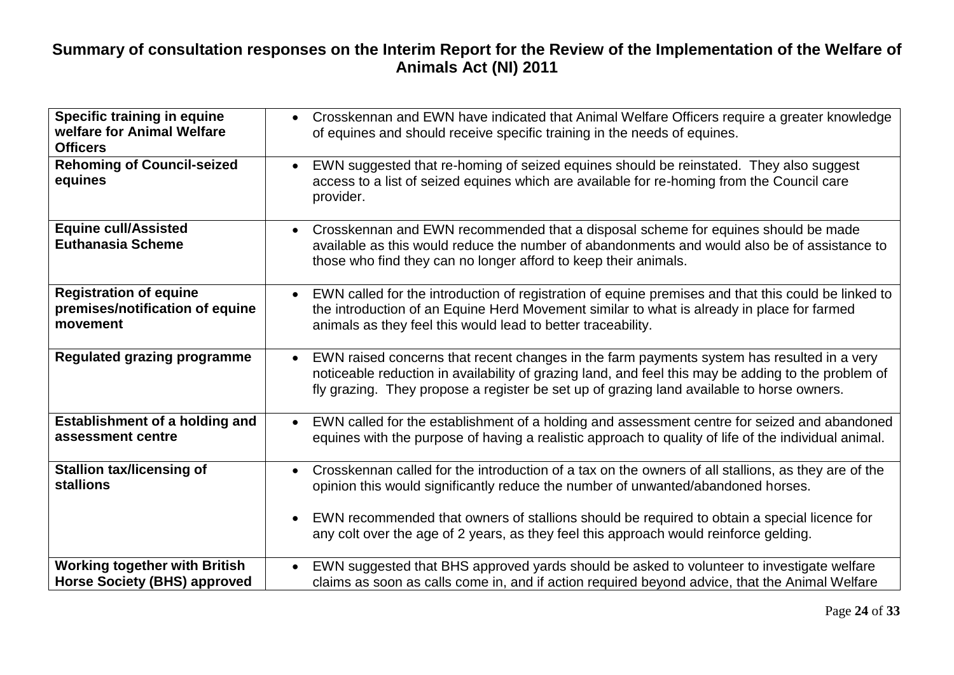| Specific training in equine<br>welfare for Animal Welfare<br><b>Officers</b> | Crosskennan and EWN have indicated that Animal Welfare Officers require a greater knowledge<br>$\bullet$<br>of equines and should receive specific training in the needs of equines.                                                                                                                                                                                                                      |
|------------------------------------------------------------------------------|-----------------------------------------------------------------------------------------------------------------------------------------------------------------------------------------------------------------------------------------------------------------------------------------------------------------------------------------------------------------------------------------------------------|
| <b>Rehoming of Council-seized</b><br>equines                                 | EWN suggested that re-homing of seized equines should be reinstated. They also suggest<br>$\bullet$<br>access to a list of seized equines which are available for re-homing from the Council care<br>provider.                                                                                                                                                                                            |
| <b>Equine cull/Assisted</b><br><b>Euthanasia Scheme</b>                      | Crosskennan and EWN recommended that a disposal scheme for equines should be made<br>$\bullet$<br>available as this would reduce the number of abandonments and would also be of assistance to<br>those who find they can no longer afford to keep their animals.                                                                                                                                         |
| <b>Registration of equine</b><br>premises/notification of equine<br>movement | EWN called for the introduction of registration of equine premises and that this could be linked to<br>$\bullet$<br>the introduction of an Equine Herd Movement similar to what is already in place for farmed<br>animals as they feel this would lead to better traceability.                                                                                                                            |
| Regulated grazing programme                                                  | EWN raised concerns that recent changes in the farm payments system has resulted in a very<br>$\bullet$<br>noticeable reduction in availability of grazing land, and feel this may be adding to the problem of<br>fly grazing. They propose a register be set up of grazing land available to horse owners.                                                                                               |
| <b>Establishment of a holding and</b><br>assessment centre                   | EWN called for the establishment of a holding and assessment centre for seized and abandoned<br>$\bullet$<br>equines with the purpose of having a realistic approach to quality of life of the individual animal.                                                                                                                                                                                         |
| <b>Stallion tax/licensing of</b><br>stallions                                | Crosskennan called for the introduction of a tax on the owners of all stallions, as they are of the<br>$\bullet$<br>opinion this would significantly reduce the number of unwanted/abandoned horses.<br>EWN recommended that owners of stallions should be required to obtain a special licence for<br>$\bullet$<br>any colt over the age of 2 years, as they feel this approach would reinforce gelding. |
| <b>Working together with British</b><br><b>Horse Society (BHS) approved</b>  | EWN suggested that BHS approved yards should be asked to volunteer to investigate welfare<br>claims as soon as calls come in, and if action required beyond advice, that the Animal Welfare                                                                                                                                                                                                               |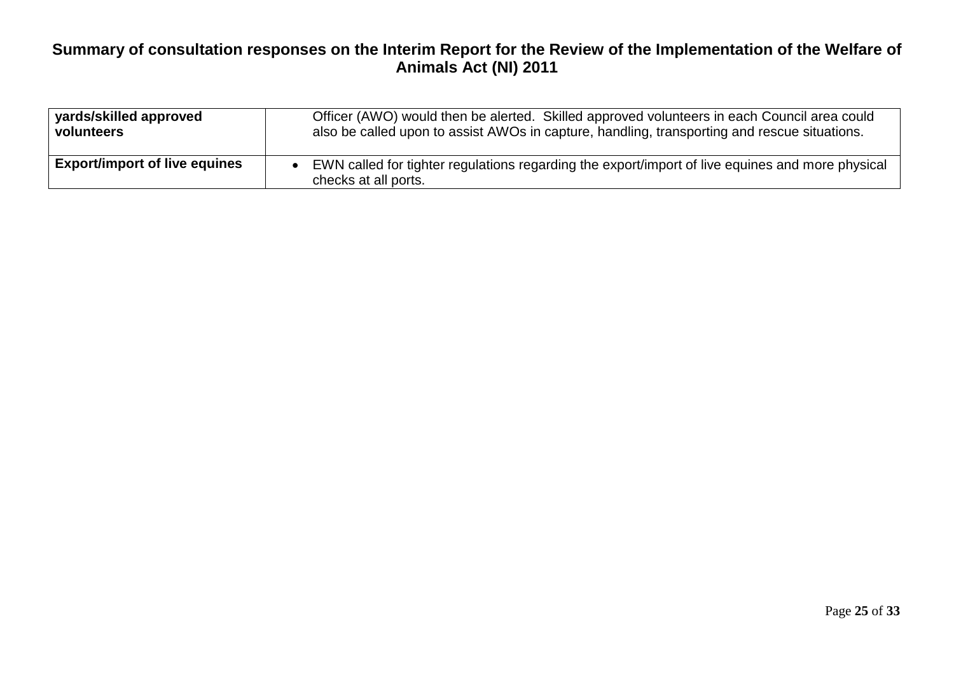| yards/skilled approved               | Officer (AWO) would then be alerted. Skilled approved volunteers in each Council area could                              |
|--------------------------------------|--------------------------------------------------------------------------------------------------------------------------|
| volunteers                           | also be called upon to assist AWOs in capture, handling, transporting and rescue situations.                             |
| <b>Export/import of live equines</b> | EWN called for tighter regulations regarding the export/import of live equines and more physical<br>checks at all ports. |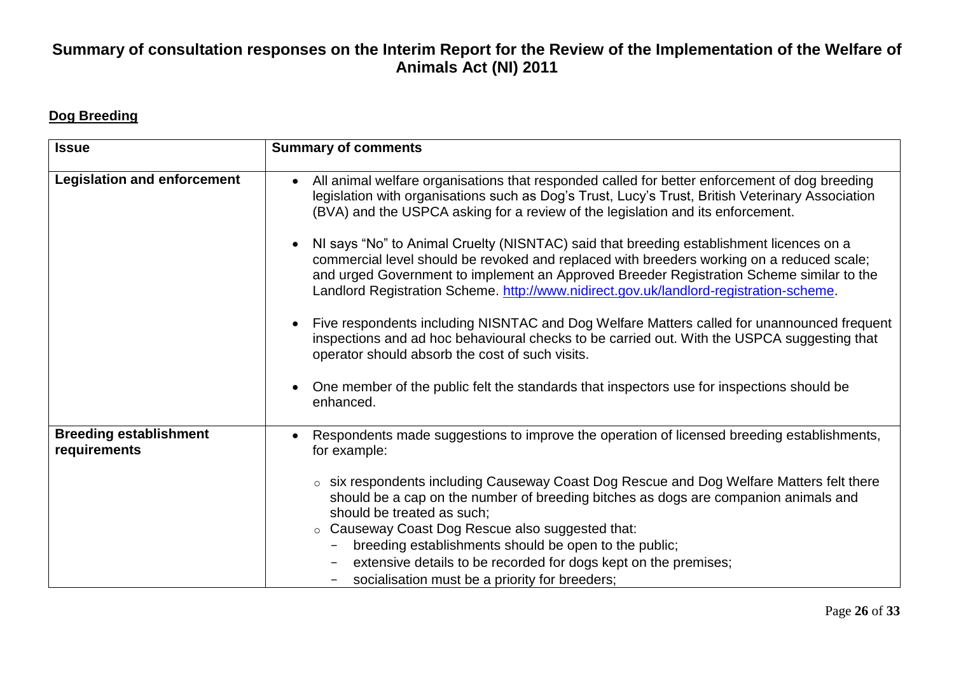#### **Dog Breeding**

| <b>Issue</b>                                  | <b>Summary of comments</b>                                                                                                                                                                                                                                                                                                                                                                                                                                     |
|-----------------------------------------------|----------------------------------------------------------------------------------------------------------------------------------------------------------------------------------------------------------------------------------------------------------------------------------------------------------------------------------------------------------------------------------------------------------------------------------------------------------------|
| <b>Legislation and enforcement</b>            | All animal welfare organisations that responded called for better enforcement of dog breeding<br>legislation with organisations such as Dog's Trust, Lucy's Trust, British Veterinary Association<br>(BVA) and the USPCA asking for a review of the legislation and its enforcement.                                                                                                                                                                           |
|                                               | NI says "No" to Animal Cruelty (NISNTAC) said that breeding establishment licences on a<br>commercial level should be revoked and replaced with breeders working on a reduced scale;<br>and urged Government to implement an Approved Breeder Registration Scheme similar to the<br>Landlord Registration Scheme. http://www.nidirect.gov.uk/landlord-registration-scheme.                                                                                     |
|                                               | Five respondents including NISNTAC and Dog Welfare Matters called for unannounced frequent<br>inspections and ad hoc behavioural checks to be carried out. With the USPCA suggesting that<br>operator should absorb the cost of such visits.                                                                                                                                                                                                                   |
|                                               | One member of the public felt the standards that inspectors use for inspections should be<br>enhanced.                                                                                                                                                                                                                                                                                                                                                         |
| <b>Breeding establishment</b><br>requirements | Respondents made suggestions to improve the operation of licensed breeding establishments,<br>for example:                                                                                                                                                                                                                                                                                                                                                     |
|                                               | $\circ$ six respondents including Causeway Coast Dog Rescue and Dog Welfare Matters felt there<br>should be a cap on the number of breeding bitches as dogs are companion animals and<br>should be treated as such;<br>Causeway Coast Dog Rescue also suggested that:<br>$\circ$<br>breeding establishments should be open to the public;<br>extensive details to be recorded for dogs kept on the premises;<br>socialisation must be a priority for breeders; |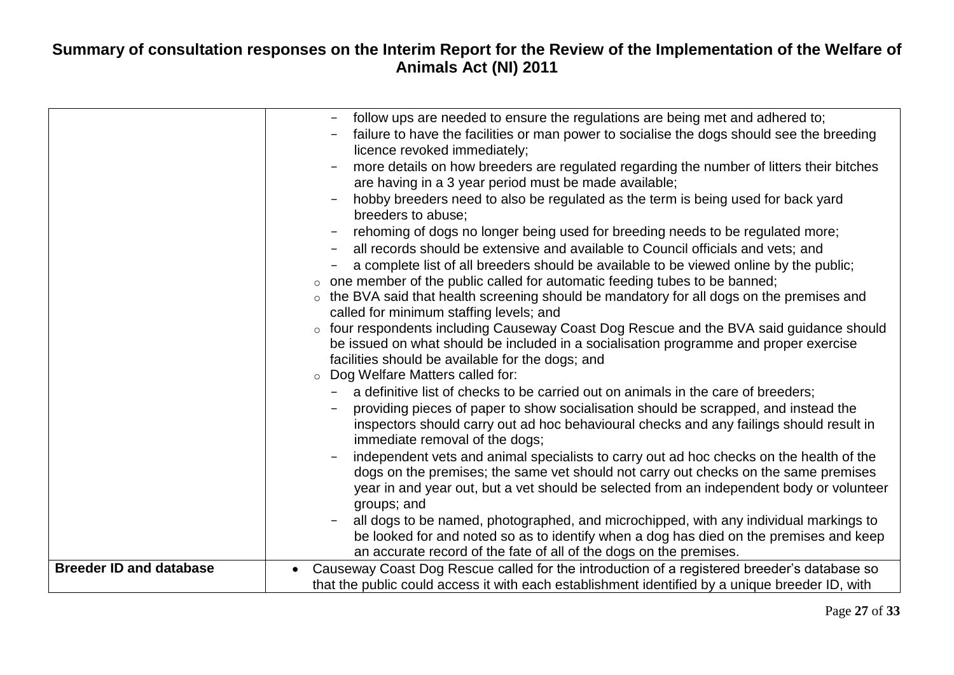|                                | follow ups are needed to ensure the regulations are being met and adhered to;<br>failure to have the facilities or man power to socialise the dogs should see the breeding<br>licence revoked immediately;<br>more details on how breeders are regulated regarding the number of litters their bitches<br>are having in a 3 year period must be made available;<br>hobby breeders need to also be regulated as the term is being used for back yard<br>breeders to abuse;<br>rehoming of dogs no longer being used for breeding needs to be regulated more;<br>all records should be extensive and available to Council officials and vets; and<br>a complete list of all breeders should be available to be viewed online by the public;<br>one member of the public called for automatic feeding tubes to be banned;<br>$\circ$<br>the BVA said that health screening should be mandatory for all dogs on the premises and<br>$\circ$<br>called for minimum staffing levels; and<br>four respondents including Causeway Coast Dog Rescue and the BVA said guidance should<br>$\circ$<br>be issued on what should be included in a socialisation programme and proper exercise<br>facilities should be available for the dogs; and<br>Dog Welfare Matters called for:<br>$\circ$ |
|--------------------------------|-----------------------------------------------------------------------------------------------------------------------------------------------------------------------------------------------------------------------------------------------------------------------------------------------------------------------------------------------------------------------------------------------------------------------------------------------------------------------------------------------------------------------------------------------------------------------------------------------------------------------------------------------------------------------------------------------------------------------------------------------------------------------------------------------------------------------------------------------------------------------------------------------------------------------------------------------------------------------------------------------------------------------------------------------------------------------------------------------------------------------------------------------------------------------------------------------------------------------------------------------------------------------------------|
|                                | a definitive list of checks to be carried out on animals in the care of breeders;<br>providing pieces of paper to show socialisation should be scrapped, and instead the<br>inspectors should carry out ad hoc behavioural checks and any failings should result in<br>immediate removal of the dogs;<br>independent vets and animal specialists to carry out ad hoc checks on the health of the<br>dogs on the premises; the same vet should not carry out checks on the same premises<br>year in and year out, but a vet should be selected from an independent body or volunteer<br>groups; and<br>all dogs to be named, photographed, and microchipped, with any individual markings to<br>be looked for and noted so as to identify when a dog has died on the premises and keep<br>an accurate record of the fate of all of the dogs on the premises.                                                                                                                                                                                                                                                                                                                                                                                                                       |
| <b>Breeder ID and database</b> | Causeway Coast Dog Rescue called for the introduction of a registered breeder's database so<br>that the public could access it with each establishment identified by a unique breeder ID, with                                                                                                                                                                                                                                                                                                                                                                                                                                                                                                                                                                                                                                                                                                                                                                                                                                                                                                                                                                                                                                                                                    |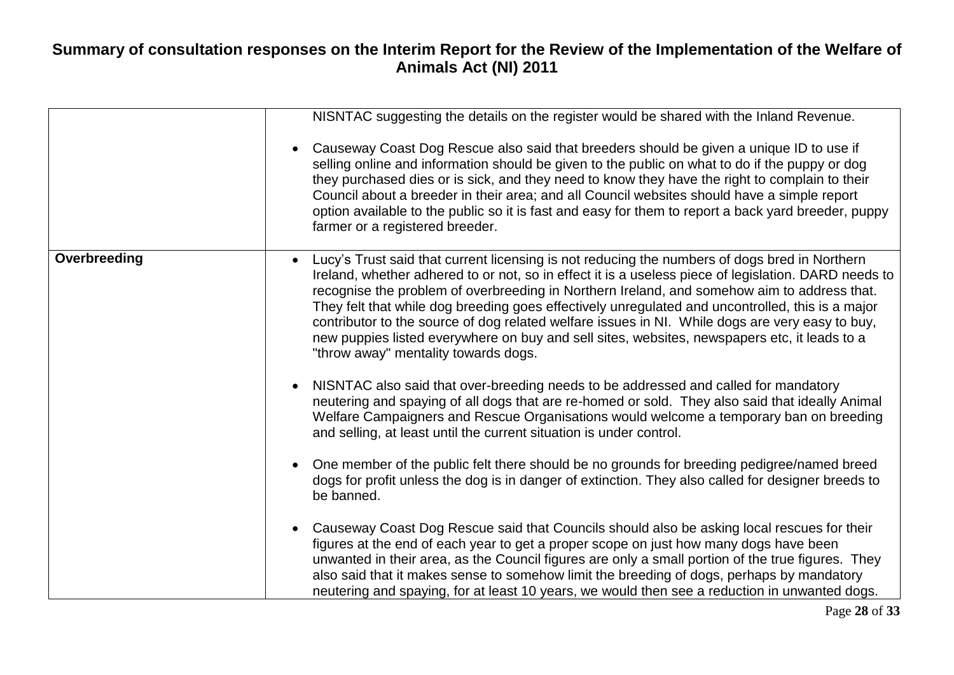|              | NISNTAC suggesting the details on the register would be shared with the Inland Revenue.                                                                                                                                                                                                                                                                                                                                                                                                                                                                                                                                                             |
|--------------|-----------------------------------------------------------------------------------------------------------------------------------------------------------------------------------------------------------------------------------------------------------------------------------------------------------------------------------------------------------------------------------------------------------------------------------------------------------------------------------------------------------------------------------------------------------------------------------------------------------------------------------------------------|
|              | Causeway Coast Dog Rescue also said that breeders should be given a unique ID to use if<br>selling online and information should be given to the public on what to do if the puppy or dog<br>they purchased dies or is sick, and they need to know they have the right to complain to their<br>Council about a breeder in their area; and all Council websites should have a simple report<br>option available to the public so it is fast and easy for them to report a back yard breeder, puppy<br>farmer or a registered breeder.                                                                                                                |
| Overbreeding | Lucy's Trust said that current licensing is not reducing the numbers of dogs bred in Northern<br>Ireland, whether adhered to or not, so in effect it is a useless piece of legislation. DARD needs to<br>recognise the problem of overbreeding in Northern Ireland, and somehow aim to address that.<br>They felt that while dog breeding goes effectively unregulated and uncontrolled, this is a major<br>contributor to the source of dog related welfare issues in NI. While dogs are very easy to buy,<br>new puppies listed everywhere on buy and sell sites, websites, newspapers etc, it leads to a<br>"throw away" mentality towards dogs. |
|              | NISNTAC also said that over-breeding needs to be addressed and called for mandatory<br>neutering and spaying of all dogs that are re-homed or sold. They also said that ideally Animal<br>Welfare Campaigners and Rescue Organisations would welcome a temporary ban on breeding<br>and selling, at least until the current situation is under control.                                                                                                                                                                                                                                                                                             |
|              | One member of the public felt there should be no grounds for breeding pedigree/named breed<br>dogs for profit unless the dog is in danger of extinction. They also called for designer breeds to<br>be banned.                                                                                                                                                                                                                                                                                                                                                                                                                                      |
|              | Causeway Coast Dog Rescue said that Councils should also be asking local rescues for their<br>figures at the end of each year to get a proper scope on just how many dogs have been<br>unwanted in their area, as the Council figures are only a small portion of the true figures. They<br>also said that it makes sense to somehow limit the breeding of dogs, perhaps by mandatory<br>neutering and spaying, for at least 10 years, we would then see a reduction in unwanted dogs.                                                                                                                                                              |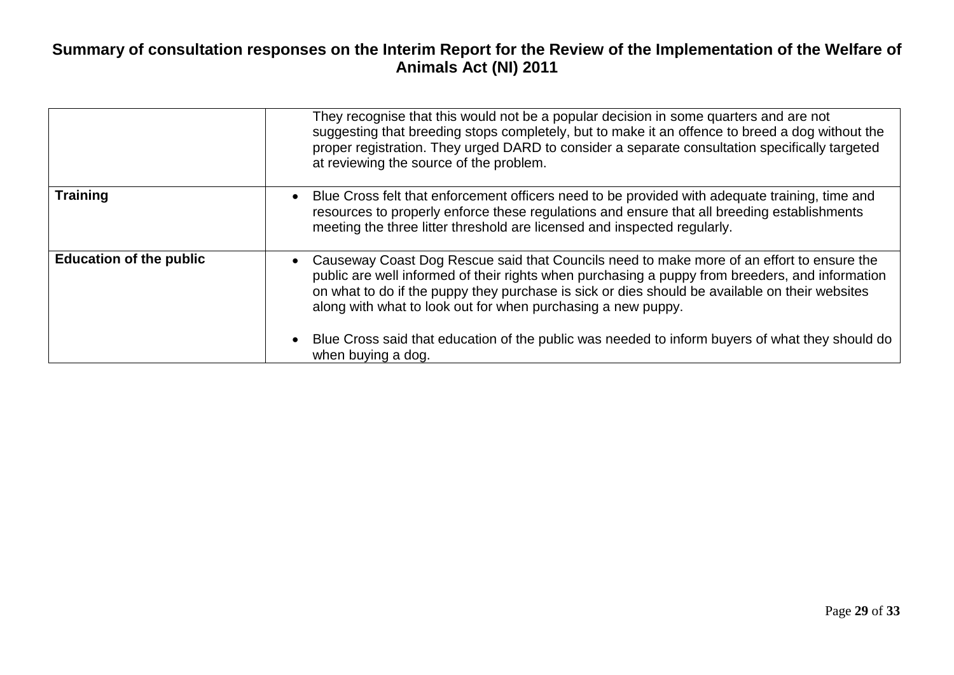|                                | They recognise that this would not be a popular decision in some quarters and are not<br>suggesting that breeding stops completely, but to make it an offence to breed a dog without the<br>proper registration. They urged DARD to consider a separate consultation specifically targeted<br>at reviewing the source of the problem.                                                                                                                             |
|--------------------------------|-------------------------------------------------------------------------------------------------------------------------------------------------------------------------------------------------------------------------------------------------------------------------------------------------------------------------------------------------------------------------------------------------------------------------------------------------------------------|
| <b>Training</b>                | Blue Cross felt that enforcement officers need to be provided with adequate training, time and<br>$\bullet$<br>resources to properly enforce these regulations and ensure that all breeding establishments<br>meeting the three litter threshold are licensed and inspected regularly.                                                                                                                                                                            |
| <b>Education of the public</b> | Causeway Coast Dog Rescue said that Councils need to make more of an effort to ensure the<br>public are well informed of their rights when purchasing a puppy from breeders, and information<br>on what to do if the puppy they purchase is sick or dies should be available on their websites<br>along with what to look out for when purchasing a new puppy.<br>Blue Cross said that education of the public was needed to inform buyers of what they should do |
|                                | when buying a dog.                                                                                                                                                                                                                                                                                                                                                                                                                                                |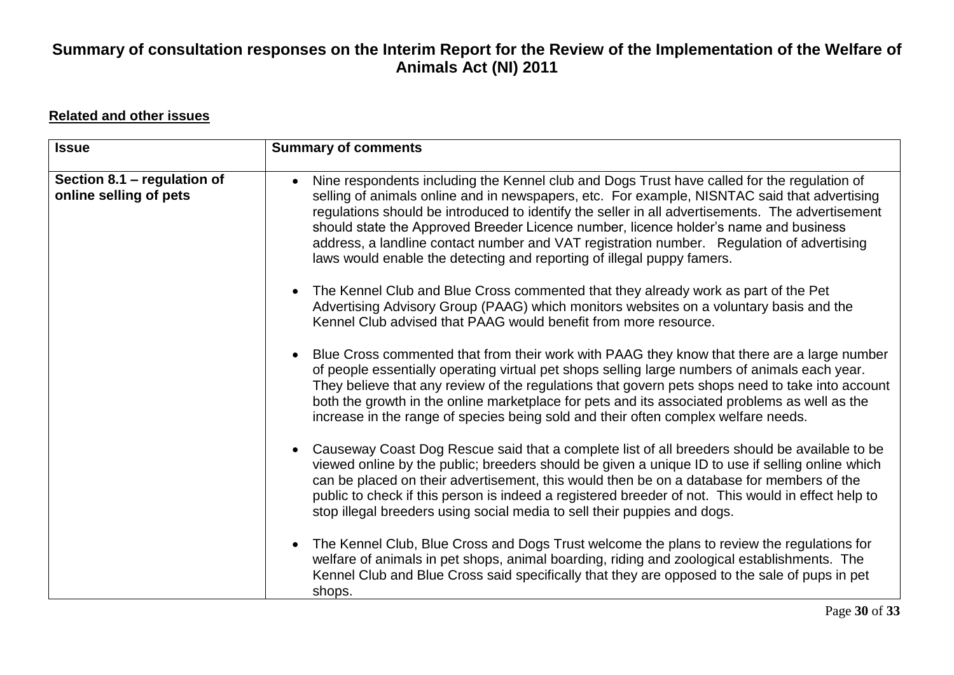#### **Related and other issues**

| <b>Issue</b>                                          | <b>Summary of comments</b>                                                                                                                                                                                                                                                                                                                                                                                                                                                                                                                                     |
|-------------------------------------------------------|----------------------------------------------------------------------------------------------------------------------------------------------------------------------------------------------------------------------------------------------------------------------------------------------------------------------------------------------------------------------------------------------------------------------------------------------------------------------------------------------------------------------------------------------------------------|
| Section 8.1 – regulation of<br>online selling of pets | Nine respondents including the Kennel club and Dogs Trust have called for the regulation of<br>selling of animals online and in newspapers, etc. For example, NISNTAC said that advertising<br>regulations should be introduced to identify the seller in all advertisements. The advertisement<br>should state the Approved Breeder Licence number, licence holder's name and business<br>address, a landline contact number and VAT registration number. Regulation of advertising<br>laws would enable the detecting and reporting of illegal puppy famers. |
|                                                       | The Kennel Club and Blue Cross commented that they already work as part of the Pet<br>Advertising Advisory Group (PAAG) which monitors websites on a voluntary basis and the<br>Kennel Club advised that PAAG would benefit from more resource.                                                                                                                                                                                                                                                                                                                |
|                                                       | Blue Cross commented that from their work with PAAG they know that there are a large number<br>of people essentially operating virtual pet shops selling large numbers of animals each year.<br>They believe that any review of the regulations that govern pets shops need to take into account<br>both the growth in the online marketplace for pets and its associated problems as well as the<br>increase in the range of species being sold and their often complex welfare needs.                                                                        |
|                                                       | Causeway Coast Dog Rescue said that a complete list of all breeders should be available to be<br>viewed online by the public; breeders should be given a unique ID to use if selling online which<br>can be placed on their advertisement, this would then be on a database for members of the<br>public to check if this person is indeed a registered breeder of not. This would in effect help to<br>stop illegal breeders using social media to sell their puppies and dogs.                                                                               |
|                                                       | The Kennel Club, Blue Cross and Dogs Trust welcome the plans to review the regulations for<br>welfare of animals in pet shops, animal boarding, riding and zoological establishments. The<br>Kennel Club and Blue Cross said specifically that they are opposed to the sale of pups in pet<br>shops.                                                                                                                                                                                                                                                           |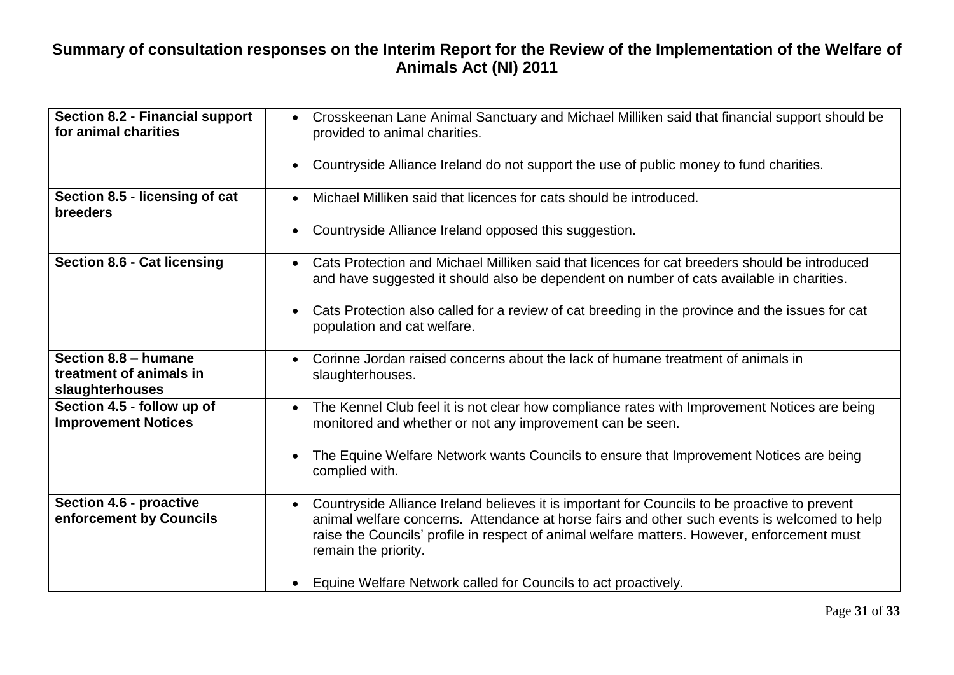| <b>Section 8.2 - Financial support</b><br>for animal charities     | Crosskeenan Lane Animal Sanctuary and Michael Milliken said that financial support should be<br>$\bullet$<br>provided to animal charities.                                                                                                                                                                                        |
|--------------------------------------------------------------------|-----------------------------------------------------------------------------------------------------------------------------------------------------------------------------------------------------------------------------------------------------------------------------------------------------------------------------------|
|                                                                    | Countryside Alliance Ireland do not support the use of public money to fund charities.<br>$\bullet$                                                                                                                                                                                                                               |
| Section 8.5 - licensing of cat<br><b>breeders</b>                  | Michael Milliken said that licences for cats should be introduced.<br>$\bullet$                                                                                                                                                                                                                                                   |
|                                                                    | Countryside Alliance Ireland opposed this suggestion.<br>$\bullet$                                                                                                                                                                                                                                                                |
| <b>Section 8.6 - Cat licensing</b>                                 | Cats Protection and Michael Milliken said that licences for cat breeders should be introduced<br>$\bullet$<br>and have suggested it should also be dependent on number of cats available in charities.                                                                                                                            |
|                                                                    | Cats Protection also called for a review of cat breeding in the province and the issues for cat<br>$\bullet$<br>population and cat welfare.                                                                                                                                                                                       |
| Section 8.8 - humane<br>treatment of animals in<br>slaughterhouses | Corinne Jordan raised concerns about the lack of humane treatment of animals in<br>slaughterhouses.                                                                                                                                                                                                                               |
| Section 4.5 - follow up of<br><b>Improvement Notices</b>           | The Kennel Club feel it is not clear how compliance rates with Improvement Notices are being<br>$\bullet$<br>monitored and whether or not any improvement can be seen.                                                                                                                                                            |
|                                                                    | The Equine Welfare Network wants Councils to ensure that Improvement Notices are being<br>$\bullet$<br>complied with.                                                                                                                                                                                                             |
| Section 4.6 - proactive<br>enforcement by Councils                 | Countryside Alliance Ireland believes it is important for Councils to be proactive to prevent<br>$\bullet$<br>animal welfare concerns. Attendance at horse fairs and other such events is welcomed to help<br>raise the Councils' profile in respect of animal welfare matters. However, enforcement must<br>remain the priority. |
|                                                                    | Equine Welfare Network called for Councils to act proactively.<br>$\bullet$                                                                                                                                                                                                                                                       |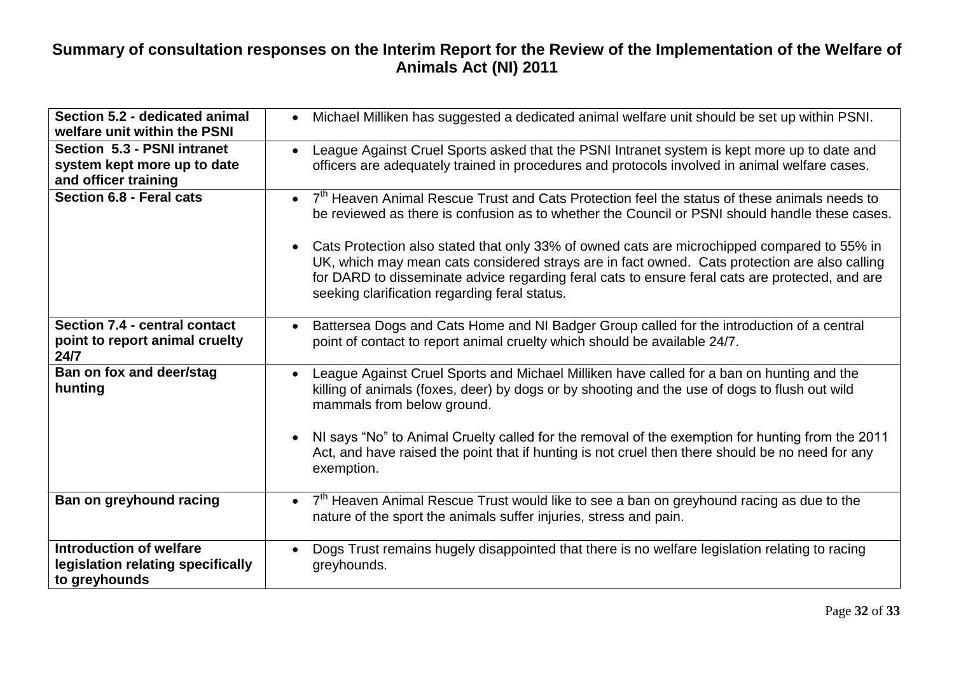| Section 5.2 - dedicated animal<br>welfare unit within the PSNI                       | Michael Milliken has suggested a dedicated animal welfare unit should be set up within PSNI.                                                                                                                                                                                                                                                                  |
|--------------------------------------------------------------------------------------|---------------------------------------------------------------------------------------------------------------------------------------------------------------------------------------------------------------------------------------------------------------------------------------------------------------------------------------------------------------|
| Section 5.3 - PSNI intranet<br>system kept more up to date<br>and officer training   | League Against Cruel Sports asked that the PSNI Intranet system is kept more up to date and<br>officers are adequately trained in procedures and protocols involved in animal welfare cases.                                                                                                                                                                  |
| Section 6.8 - Feral cats                                                             | 7 <sup>th</sup> Heaven Animal Rescue Trust and Cats Protection feel the status of these animals needs to<br>$\bullet$<br>be reviewed as there is confusion as to whether the Council or PSNI should handle these cases.                                                                                                                                       |
|                                                                                      | Cats Protection also stated that only 33% of owned cats are microchipped compared to 55% in<br>$\bullet$<br>UK, which may mean cats considered strays are in fact owned. Cats protection are also calling<br>for DARD to disseminate advice regarding feral cats to ensure feral cats are protected, and are<br>seeking clarification regarding feral status. |
| Section 7.4 - central contact<br>point to report animal cruelty<br>24/7              | Battersea Dogs and Cats Home and NI Badger Group called for the introduction of a central<br>point of contact to report animal cruelty which should be available 24/7.                                                                                                                                                                                        |
| Ban on fox and deer/stag<br>hunting                                                  | League Against Cruel Sports and Michael Milliken have called for a ban on hunting and the<br>$\bullet$<br>killing of animals (foxes, deer) by dogs or by shooting and the use of dogs to flush out wild<br>mammals from below ground.                                                                                                                         |
|                                                                                      | NI says "No" to Animal Cruelty called for the removal of the exemption for hunting from the 2011<br>Act, and have raised the point that if hunting is not cruel then there should be no need for any<br>exemption.                                                                                                                                            |
| Ban on greyhound racing                                                              | $7th$ Heaven Animal Rescue Trust would like to see a ban on greyhound racing as due to the<br>nature of the sport the animals suffer injuries, stress and pain.                                                                                                                                                                                               |
| <b>Introduction of welfare</b><br>legislation relating specifically<br>to greyhounds | Dogs Trust remains hugely disappointed that there is no welfare legislation relating to racing<br>$\bullet$<br>greyhounds.                                                                                                                                                                                                                                    |